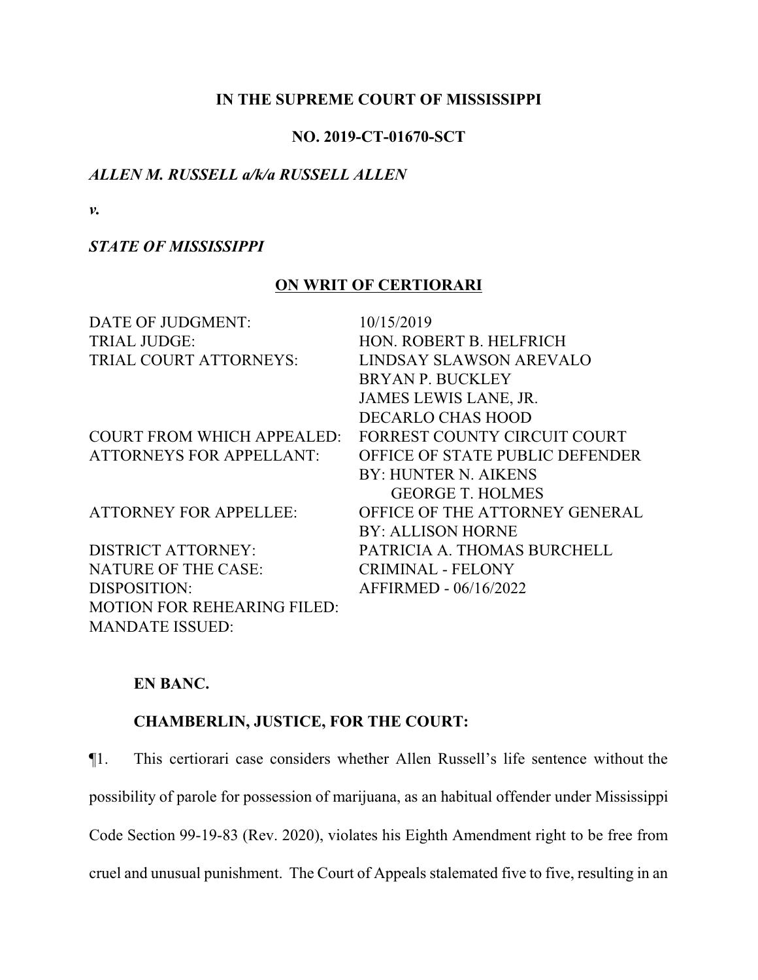## **IN THE SUPREME COURT OF MISSISSIPPI**

## **NO. 2019-CT-01670-SCT**

## *ALLEN M. RUSSELL a/k/a RUSSELL ALLEN*

*v.*

## *STATE OF MISSISSIPPI*

## **ON WRIT OF CERTIORARI**

| DATE OF JUDGMENT:                  | 10/15/2019                      |
|------------------------------------|---------------------------------|
| <b>TRIAL JUDGE:</b>                | HON. ROBERT B. HELFRICH         |
|                                    |                                 |
| <b>TRIAL COURT ATTORNEYS:</b>      | LINDSAY SLAWSON AREVALO         |
|                                    | <b>BRYAN P. BUCKLEY</b>         |
|                                    | JAMES LEWIS LANE, JR.           |
|                                    | <b>DECARLO CHAS HOOD</b>        |
| <b>COURT FROM WHICH APPEALED:</b>  | FORREST COUNTY CIRCUIT COURT    |
| <b>ATTORNEYS FOR APPELLANT:</b>    | OFFICE OF STATE PUBLIC DEFENDER |
|                                    | <b>BY: HUNTER N. AIKENS</b>     |
|                                    | <b>GEORGE T. HOLMES</b>         |
| <b>ATTORNEY FOR APPELLEE:</b>      | OFFICE OF THE ATTORNEY GENERAL  |
|                                    | <b>BY: ALLISON HORNE</b>        |
| <b>DISTRICT ATTORNEY:</b>          | PATRICIA A. THOMAS BURCHELL     |
| <b>NATURE OF THE CASE:</b>         | <b>CRIMINAL - FELONY</b>        |
| DISPOSITION:                       | AFFIRMED - 06/16/2022           |
| <b>MOTION FOR REHEARING FILED:</b> |                                 |
| <b>MANDATE ISSUED:</b>             |                                 |

## **EN BANC.**

## **CHAMBERLIN, JUSTICE, FOR THE COURT:**

¶1. This certiorari case considers whether Allen Russell's life sentence without the

possibility of parole for possession of marijuana, as an habitual offender under Mississippi

Code Section 99-19-83 (Rev. 2020), violates his Eighth Amendment right to be free from

cruel and unusual punishment. The Court of Appeals stalemated five to five, resulting in an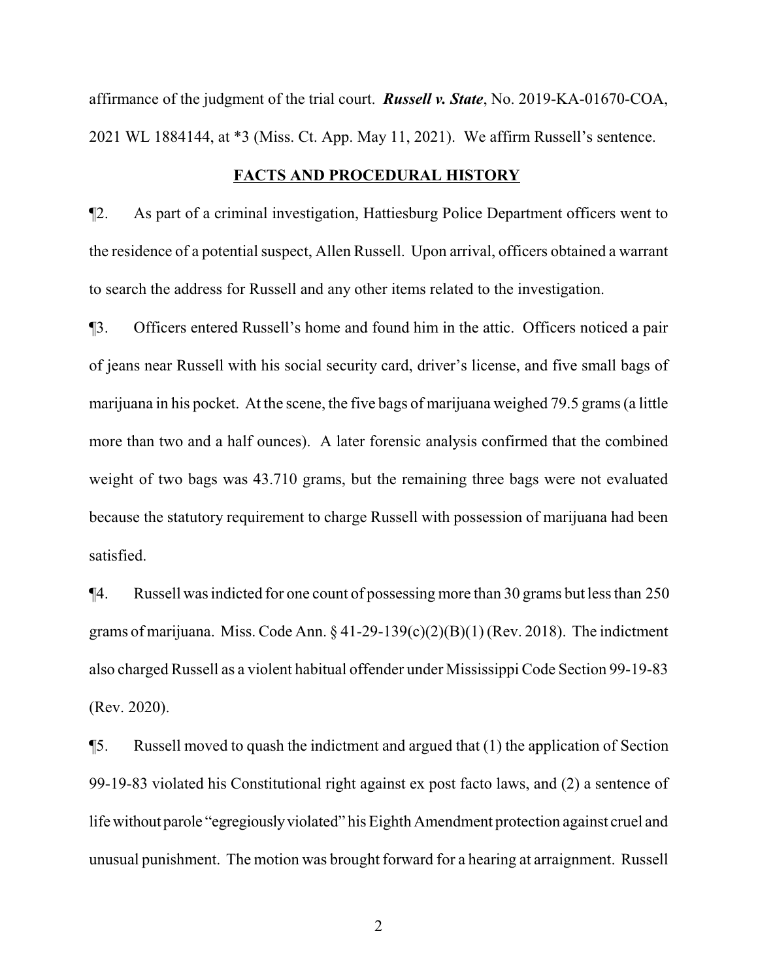affirmance of the judgment of the trial court. *Russell v. State*, No. 2019-KA-01670-COA, 2021 WL 1884144, at \*3 (Miss. Ct. App. May 11, 2021). We affirm Russell's sentence.

### **FACTS AND PROCEDURAL HISTORY**

¶2. As part of a criminal investigation, Hattiesburg Police Department officers went to the residence of a potential suspect, Allen Russell. Upon arrival, officers obtained a warrant to search the address for Russell and any other items related to the investigation.

¶3. Officers entered Russell's home and found him in the attic. Officers noticed a pair of jeans near Russell with his social security card, driver's license, and five small bags of marijuana in his pocket. At the scene, the five bags of marijuana weighed 79.5 grams (a little more than two and a half ounces). A later forensic analysis confirmed that the combined weight of two bags was 43.710 grams, but the remaining three bags were not evaluated because the statutory requirement to charge Russell with possession of marijuana had been satisfied.

¶4. Russell was indicted for one count of possessing more than 30 grams but less than 250 grams of marijuana. Miss. Code Ann.  $\S 41-29-139(c)(2)(B)(1)$  (Rev. 2018). The indictment also charged Russell as a violent habitual offender under Mississippi Code Section 99-19-83 (Rev. 2020).

¶5. Russell moved to quash the indictment and argued that (1) the application of Section 99-19-83 violated his Constitutional right against ex post facto laws, and (2) a sentence of life without parole "egregiously violated" his Eighth Amendment protection against cruel and unusual punishment. The motion was brought forward for a hearing at arraignment. Russell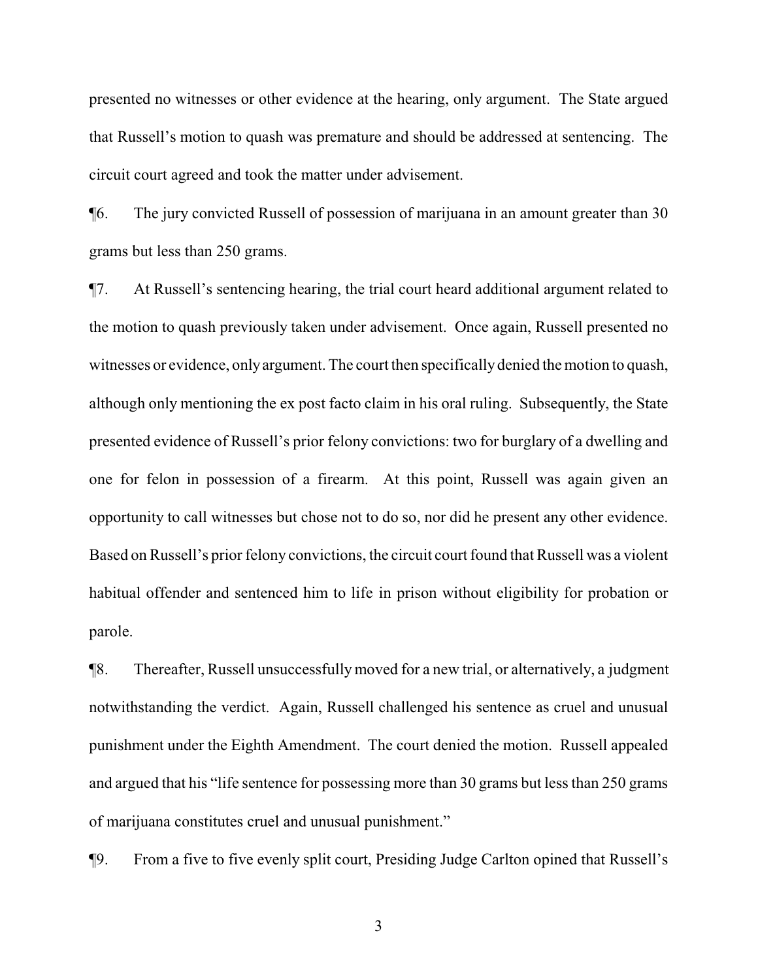presented no witnesses or other evidence at the hearing, only argument. The State argued that Russell's motion to quash was premature and should be addressed at sentencing. The circuit court agreed and took the matter under advisement.

¶6. The jury convicted Russell of possession of marijuana in an amount greater than 30 grams but less than 250 grams.

¶7. At Russell's sentencing hearing, the trial court heard additional argument related to the motion to quash previously taken under advisement. Once again, Russell presented no witnesses or evidence, only argument. The court then specifically denied the motion to quash, although only mentioning the ex post facto claim in his oral ruling. Subsequently, the State presented evidence of Russell's prior felony convictions: two for burglary of a dwelling and one for felon in possession of a firearm. At this point, Russell was again given an opportunity to call witnesses but chose not to do so, nor did he present any other evidence. Based on Russell's prior felony convictions, the circuit court found that Russell was a violent habitual offender and sentenced him to life in prison without eligibility for probation or parole.

¶8. Thereafter, Russell unsuccessfullymoved for a new trial, or alternatively, a judgment notwithstanding the verdict. Again, Russell challenged his sentence as cruel and unusual punishment under the Eighth Amendment. The court denied the motion. Russell appealed and argued that his "life sentence for possessing more than 30 grams but less than 250 grams of marijuana constitutes cruel and unusual punishment."

¶9. From a five to five evenly split court, Presiding Judge Carlton opined that Russell's

3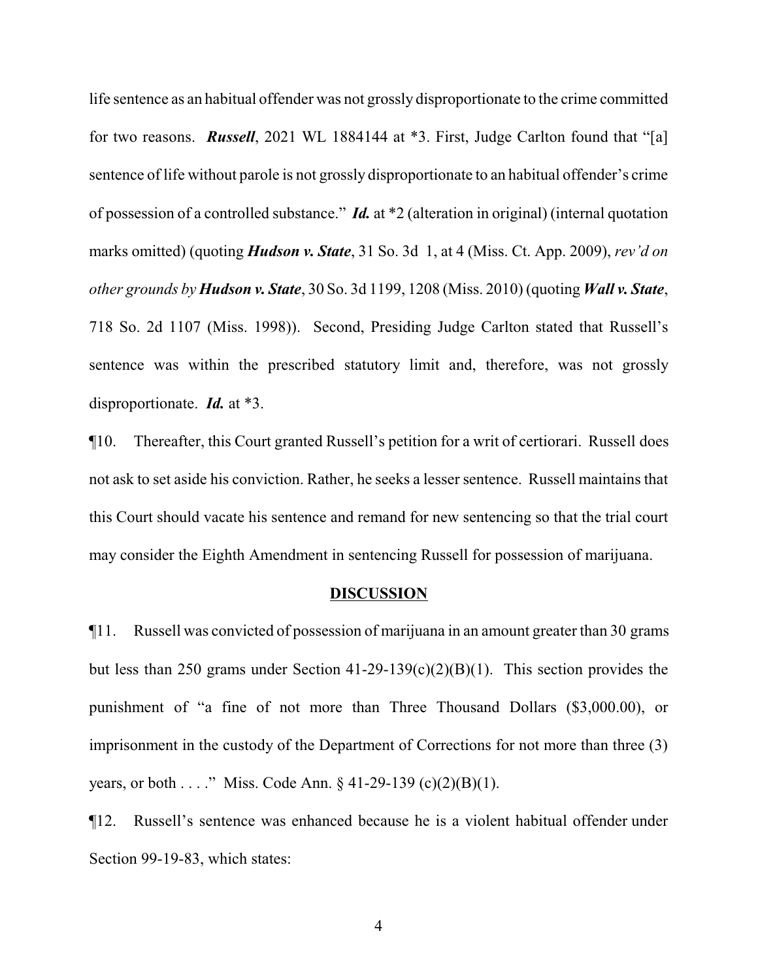life sentence as an habitual offender was not grossly disproportionate to the crime committed for two reasons. *Russell*, 2021 WL 1884144 at \*3. First, Judge Carlton found that "[a] sentence of life without parole is not grossly disproportionate to an habitual offender's crime of possession of a controlled substance." *Id.* at \*2 (alteration in original) (internal quotation marks omitted) (quoting *Hudson v. State*, 31 So. 3d 1, at 4 (Miss. Ct. App. 2009), *rev'd on other grounds by Hudson v. State*, 30 So. 3d 1199, 1208 (Miss. 2010) (quoting *Wall v. State*, 718 So. 2d 1107 (Miss. 1998)). Second, Presiding Judge Carlton stated that Russell's sentence was within the prescribed statutory limit and, therefore, was not grossly disproportionate. *Id.* at \*3.

¶10. Thereafter, this Court granted Russell's petition for a writ of certiorari. Russell does not ask to set aside his conviction. Rather, he seeks a lesser sentence. Russell maintains that this Court should vacate his sentence and remand for new sentencing so that the trial court may consider the Eighth Amendment in sentencing Russell for possession of marijuana.

#### **DISCUSSION**

¶11. Russell was convicted of possession of marijuana in an amount greater than 30 grams but less than 250 grams under Section 41-29-139(c)(2)(B)(1). This section provides the punishment of "a fine of not more than Three Thousand Dollars (\$3,000.00), or imprisonment in the custody of the Department of Corrections for not more than three (3) years, or both . . . ." Miss. Code Ann. § 41-29-139 (c)(2)(B)(1).

¶12. Russell's sentence was enhanced because he is a violent habitual offender under Section 99-19-83, which states: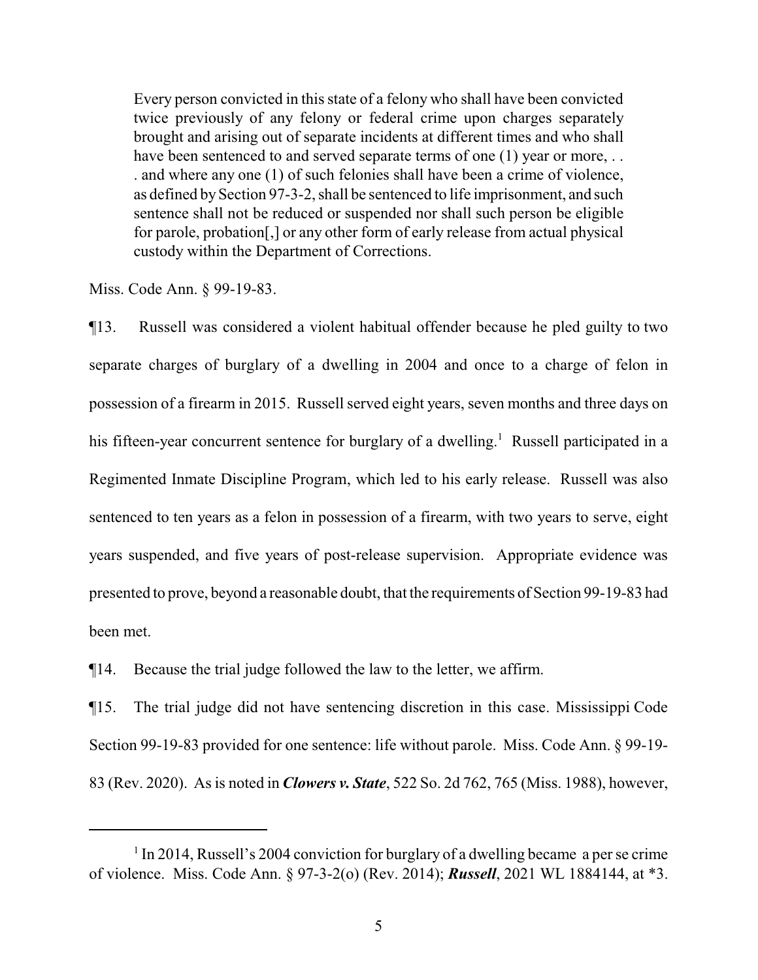Every person convicted in this state of a felony who shall have been convicted twice previously of any felony or federal crime upon charges separately brought and arising out of separate incidents at different times and who shall have been sentenced to and served separate terms of one (1) year or more, ... . and where any one (1) of such felonies shall have been a crime of violence, as defined bySection 97-3-2, shall be sentenced to life imprisonment, and such sentence shall not be reduced or suspended nor shall such person be eligible for parole, probation[,] or any other form of early release from actual physical custody within the Department of Corrections.

Miss. Code Ann. § 99-19-83.

¶13. Russell was considered a violent habitual offender because he pled guilty to two separate charges of burglary of a dwelling in 2004 and once to a charge of felon in possession of a firearm in 2015. Russell served eight years, seven months and three days on his fifteen-year concurrent sentence for burglary of a dwelling.<sup>1</sup> Russell participated in a Regimented Inmate Discipline Program, which led to his early release. Russell was also sentenced to ten years as a felon in possession of a firearm, with two years to serve, eight years suspended, and five years of post-release supervision. Appropriate evidence was presented to prove, beyond a reasonable doubt, that the requirements of Section 99-19-83 had been met.

¶14. Because the trial judge followed the law to the letter, we affirm.

¶15. The trial judge did not have sentencing discretion in this case. Mississippi Code Section 99-19-83 provided for one sentence: life without parole. Miss. Code Ann. § 99-19- 83 (Rev. 2020). As is noted in *Clowers v. State*, 522 So. 2d 762, 765 (Miss. 1988), however,

<sup>&</sup>lt;sup>1</sup> In 2014, Russell's 2004 conviction for burglary of a dwelling became a per se crime of violence. Miss. Code Ann. § 97-3-2(o) (Rev. 2014); *Russell*, 2021 WL 1884144, at \*3.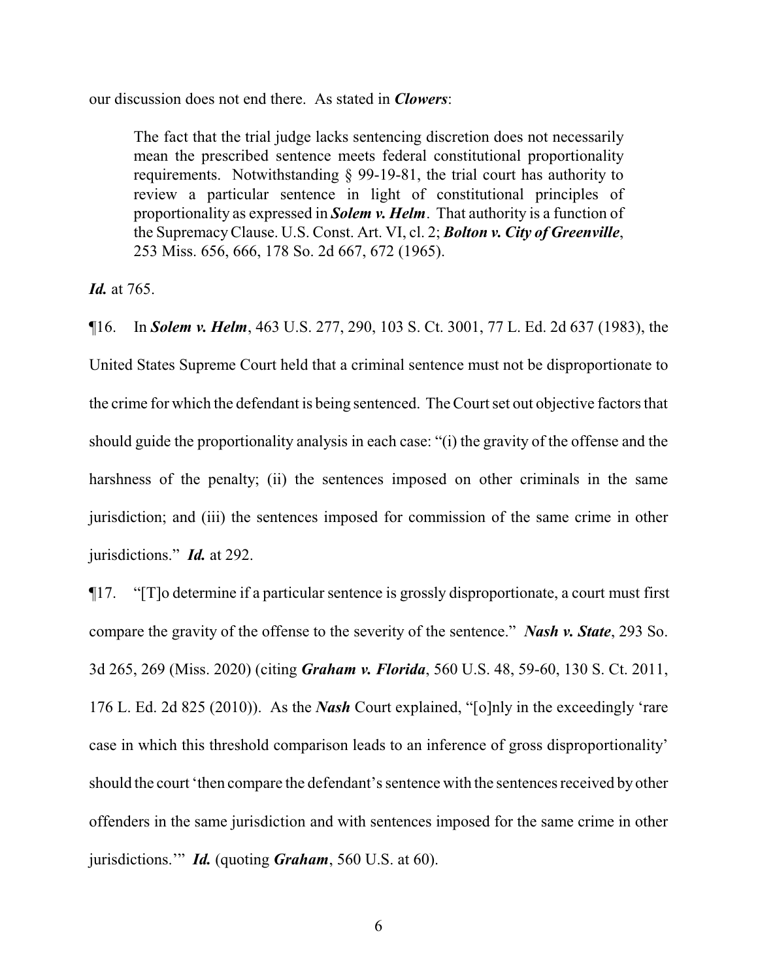our discussion does not end there. As stated in *Clowers*:

The fact that the trial judge lacks sentencing discretion does not necessarily mean the prescribed sentence meets federal constitutional proportionality requirements. Notwithstanding § 99-19-81, the trial court has authority to review a particular sentence in light of constitutional principles of proportionality as expressed in *Solem v. Helm*. That authority is a function of the SupremacyClause. U.S. Const. Art. VI, cl. 2; *Bolton v. City of Greenville*, 253 Miss. 656, 666, 178 So. 2d 667, 672 (1965).

*Id.* at 765.

¶16. In *Solem v. Helm*, 463 U.S. 277, 290, 103 S. Ct. 3001, 77 L. Ed. 2d 637 (1983), the United States Supreme Court held that a criminal sentence must not be disproportionate to the crime for which the defendant is being sentenced. The Court set out objective factors that should guide the proportionality analysis in each case: "(i) the gravity of the offense and the harshness of the penalty; (ii) the sentences imposed on other criminals in the same jurisdiction; and (iii) the sentences imposed for commission of the same crime in other jurisdictions." *Id.* at 292.

¶17. "[T]o determine if a particular sentence is grossly disproportionate, a court must first compare the gravity of the offense to the severity of the sentence." *Nash v. State*, 293 So. 3d 265, 269 (Miss. 2020) (citing *Graham v. Florida*, 560 U.S. 48, 59-60, 130 S. Ct. 2011, 176 L. Ed. 2d 825 (2010)). As the *Nash* Court explained, "[o]nly in the exceedingly 'rare case in which this threshold comparison leads to an inference of gross disproportionality' should the court 'then compare the defendant's sentence with the sentences received by other offenders in the same jurisdiction and with sentences imposed for the same crime in other jurisdictions.'" *Id.* (quoting *Graham*, 560 U.S. at 60).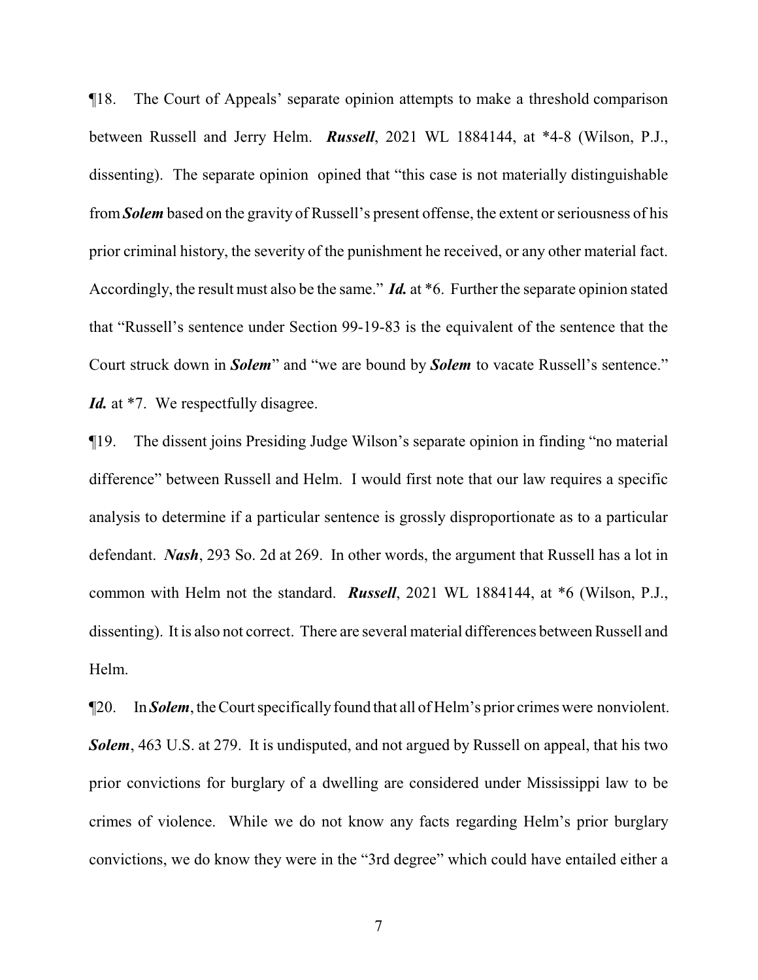¶18. The Court of Appeals' separate opinion attempts to make a threshold comparison between Russell and Jerry Helm. *Russell*, 2021 WL 1884144, at \*4-8 (Wilson, P.J., dissenting). The separate opinion opined that "this case is not materially distinguishable from *Solem* based on the gravity of Russell's present offense, the extent or seriousness of his prior criminal history, the severity of the punishment he received, or any other material fact. Accordingly, the result must also be the same." *Id.* at \*6. Further the separate opinion stated that "Russell's sentence under Section 99-19-83 is the equivalent of the sentence that the Court struck down in *Solem*" and "we are bound by *Solem* to vacate Russell's sentence." Id. at <sup>\*7</sup>. We respectfully disagree.

¶19. The dissent joins Presiding Judge Wilson's separate opinion in finding "no material difference" between Russell and Helm. I would first note that our law requires a specific analysis to determine if a particular sentence is grossly disproportionate as to a particular defendant. *Nash*, 293 So. 2d at 269. In other words, the argument that Russell has a lot in common with Helm not the standard. *Russell*, 2021 WL 1884144, at \*6 (Wilson, P.J., dissenting). It is also not correct. There are several material differences between Russell and Helm.

¶20. In *Solem*, the Court specificallyfound that all of Helm's prior crimes were nonviolent. **Solem**, 463 U.S. at 279. It is undisputed, and not argued by Russell on appeal, that his two prior convictions for burglary of a dwelling are considered under Mississippi law to be crimes of violence. While we do not know any facts regarding Helm's prior burglary convictions, we do know they were in the "3rd degree" which could have entailed either a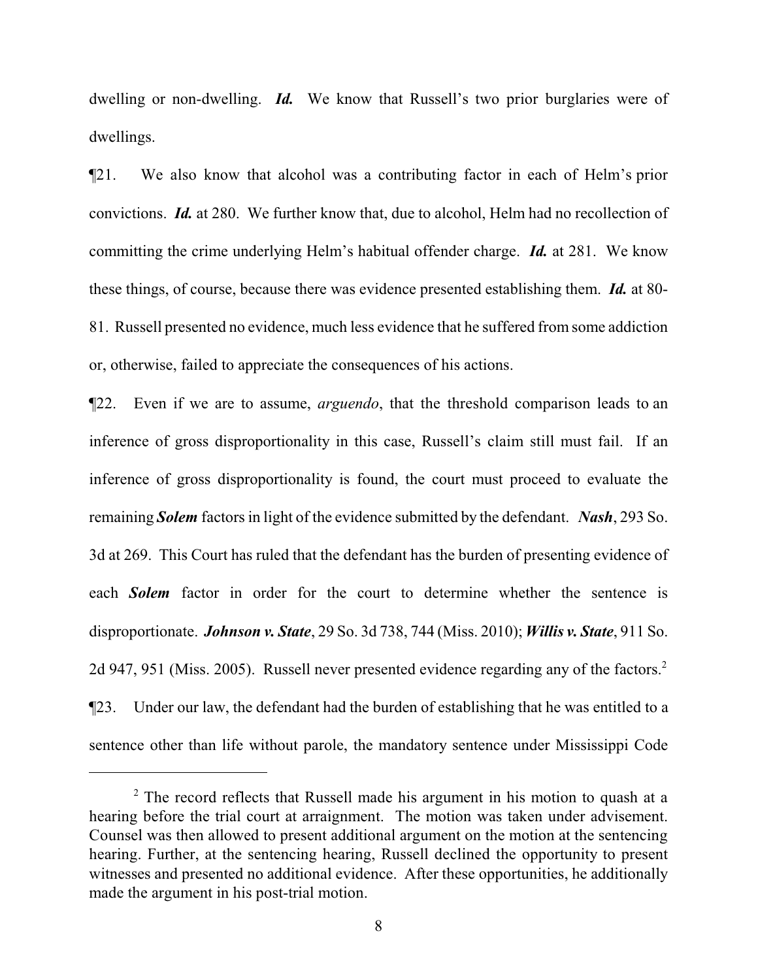dwelling or non-dwelling. **Id.** We know that Russell's two prior burglaries were of dwellings.

¶21. We also know that alcohol was a contributing factor in each of Helm's prior convictions. *Id.* at 280. We further know that, due to alcohol, Helm had no recollection of committing the crime underlying Helm's habitual offender charge. *Id.* at 281. We know these things, of course, because there was evidence presented establishing them. *Id.* at 80- 81. Russell presented no evidence, much less evidence that he suffered from some addiction or, otherwise, failed to appreciate the consequences of his actions.

¶22. Even if we are to assume, *arguendo*, that the threshold comparison leads to an inference of gross disproportionality in this case, Russell's claim still must fail. If an inference of gross disproportionality is found, the court must proceed to evaluate the remaining *Solem* factors in light of the evidence submitted by the defendant. *Nash*, 293 So. 3d at 269. This Court has ruled that the defendant has the burden of presenting evidence of each *Solem* factor in order for the court to determine whether the sentence is disproportionate. *Johnson v. State*, 29 So. 3d 738, 744 (Miss. 2010); *Willis v. State*, 911 So. 2d 947, 951 (Miss. 2005). Russell never presented evidence regarding any of the factors.<sup>2</sup> ¶23. Under our law, the defendant had the burden of establishing that he was entitled to a sentence other than life without parole, the mandatory sentence under Mississippi Code

 $2^{\circ}$  The record reflects that Russell made his argument in his motion to quash at a hearing before the trial court at arraignment. The motion was taken under advisement. Counsel was then allowed to present additional argument on the motion at the sentencing hearing. Further, at the sentencing hearing, Russell declined the opportunity to present witnesses and presented no additional evidence. After these opportunities, he additionally made the argument in his post-trial motion.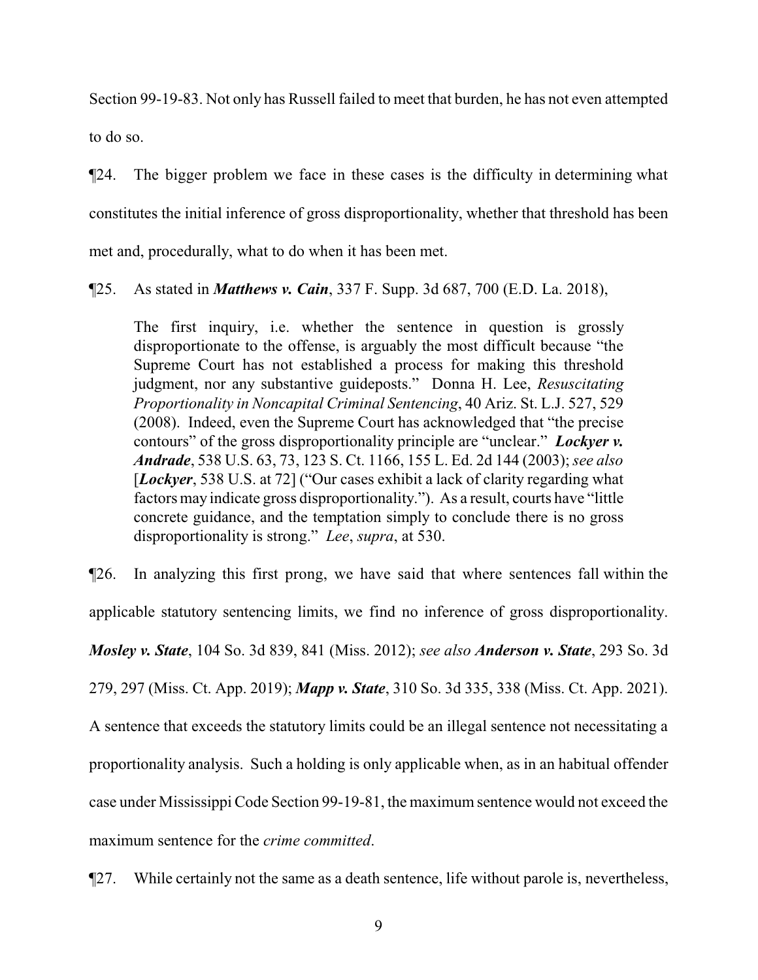Section 99-19-83. Not only has Russell failed to meet that burden, he has not even attempted to do so.

¶24. The bigger problem we face in these cases is the difficulty in determining what constitutes the initial inference of gross disproportionality, whether that threshold has been met and, procedurally, what to do when it has been met.

¶25. As stated in *Matthews v. Cain*, 337 F. Supp. 3d 687, 700 (E.D. La. 2018),

The first inquiry, i.e. whether the sentence in question is grossly disproportionate to the offense, is arguably the most difficult because "the Supreme Court has not established a process for making this threshold judgment, nor any substantive guideposts." Donna H. Lee, *Resuscitating Proportionality in Noncapital Criminal Sentencing*, 40 Ariz. St. L.J. 527, 529 (2008). Indeed, even the Supreme Court has acknowledged that "the precise contours" of the gross disproportionality principle are "unclear." *Lockyer v. Andrade*, 538 U.S. 63, 73, 123 S. Ct. 1166, 155 L. Ed. 2d 144 (2003); *see also* [*Lockyer*, 538 U.S. at 72] ("Our cases exhibit a lack of clarity regarding what factors may indicate gross disproportionality."). As a result, courts have "little concrete guidance, and the temptation simply to conclude there is no gross disproportionality is strong." *Lee*, *supra*, at 530.

¶26. In analyzing this first prong, we have said that where sentences fall within the applicable statutory sentencing limits, we find no inference of gross disproportionality. *Mosley v. State*, 104 So. 3d 839, 841 (Miss. 2012); *see also Anderson v. State*, 293 So. 3d 279, 297 (Miss. Ct. App. 2019); *Mapp v. State*, 310 So. 3d 335, 338 (Miss. Ct. App. 2021). A sentence that exceeds the statutory limits could be an illegal sentence not necessitating a proportionality analysis. Such a holding is only applicable when, as in an habitual offender case under Mississippi Code Section 99-19-81, the maximum sentence would not exceed the maximum sentence for the *crime committed*.

¶27. While certainly not the same as a death sentence, life without parole is, nevertheless,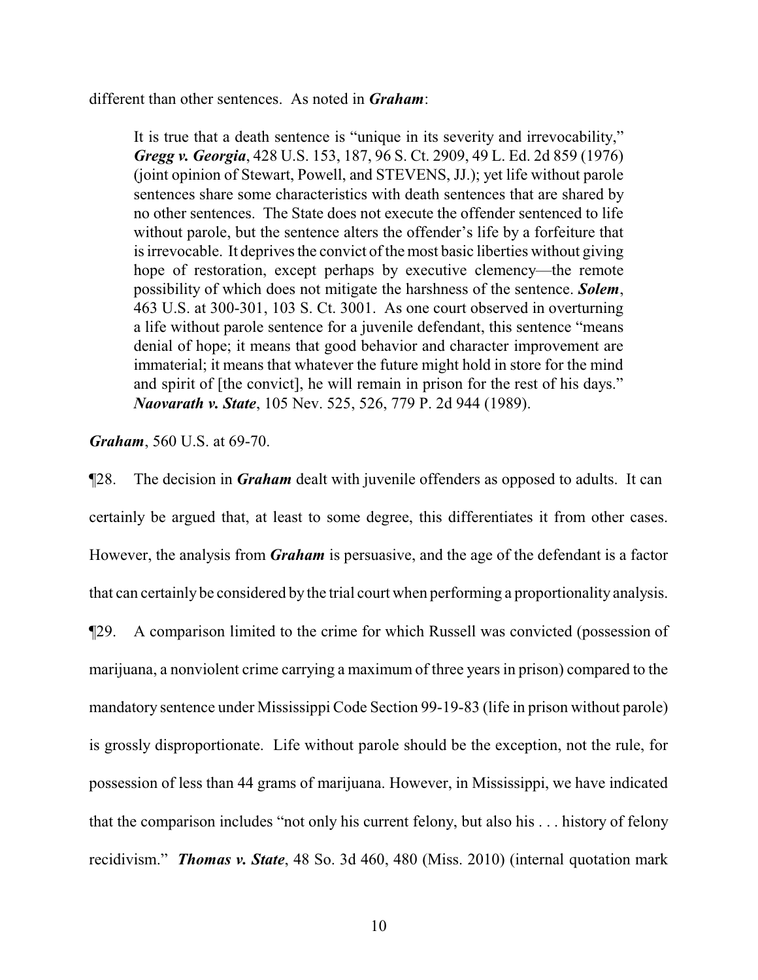different than other sentences. As noted in *Graham*:

It is true that a death sentence is "unique in its severity and irrevocability," *Gregg v. Georgia*, 428 U.S. 153, 187, 96 S. Ct. 2909, 49 L. Ed. 2d 859 (1976) (joint opinion of Stewart, Powell, and STEVENS, JJ.); yet life without parole sentences share some characteristics with death sentences that are shared by no other sentences. The State does not execute the offender sentenced to life without parole, but the sentence alters the offender's life by a forfeiture that is irrevocable. It deprives the convict of the most basic liberties without giving hope of restoration, except perhaps by executive clemency—the remote possibility of which does not mitigate the harshness of the sentence. *Solem*, 463 U.S. at 300-301, 103 S. Ct. 3001. As one court observed in overturning a life without parole sentence for a juvenile defendant, this sentence "means denial of hope; it means that good behavior and character improvement are immaterial; it means that whatever the future might hold in store for the mind and spirit of [the convict], he will remain in prison for the rest of his days." *Naovarath v. State*, 105 Nev. 525, 526, 779 P. 2d 944 (1989).

*Graham*, 560 U.S. at 69-70.

¶28. The decision in *Graham* dealt with juvenile offenders as opposed to adults. It can certainly be argued that, at least to some degree, this differentiates it from other cases. However, the analysis from *Graham* is persuasive, and the age of the defendant is a factor that can certainly be considered by the trial court when performing a proportionality analysis. ¶29. A comparison limited to the crime for which Russell was convicted (possession of marijuana, a nonviolent crime carrying a maximum of three years in prison) compared to the mandatory sentence under Mississippi Code Section 99-19-83 (life in prison without parole) is grossly disproportionate. Life without parole should be the exception, not the rule, for possession of less than 44 grams of marijuana. However, in Mississippi, we have indicated that the comparison includes "not only his current felony, but also his . . . history of felony recidivism." *Thomas v. State*, 48 So. 3d 460, 480 (Miss. 2010) (internal quotation mark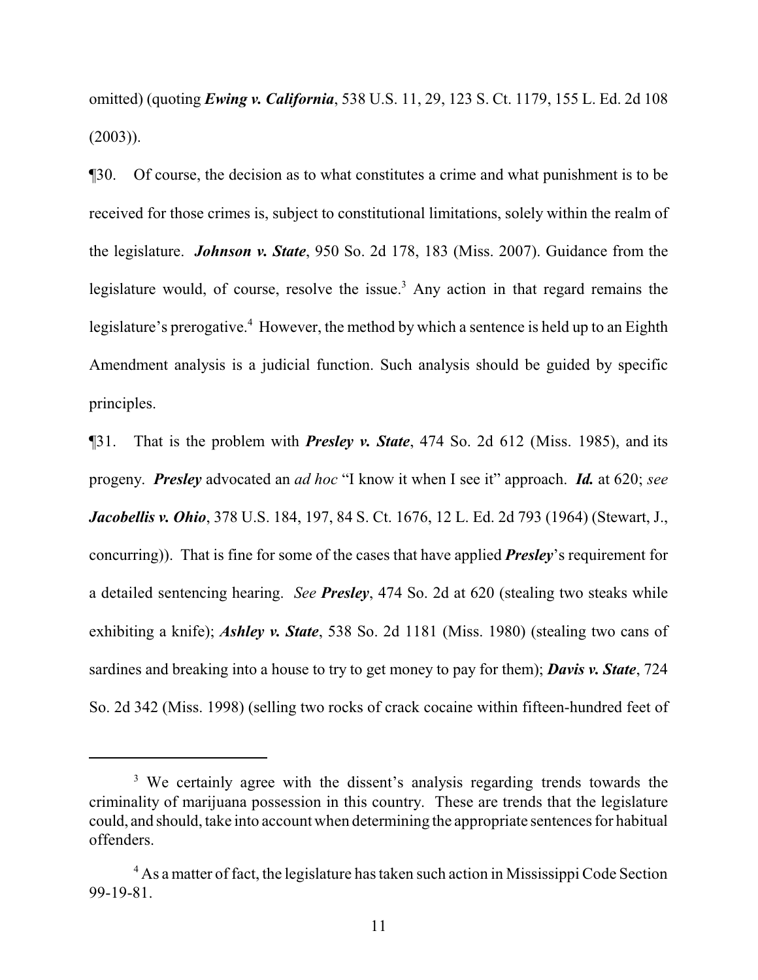omitted) (quoting *Ewing v. California*, 538 U.S. 11, 29, 123 S. Ct. 1179, 155 L. Ed. 2d 108 (2003)).

¶30. Of course, the decision as to what constitutes a crime and what punishment is to be received for those crimes is, subject to constitutional limitations, solely within the realm of the legislature. *Johnson v. State*, 950 So. 2d 178, 183 (Miss. 2007). Guidance from the legislature would, of course, resolve the issue.<sup>3</sup> Any action in that regard remains the legislature's prerogative.<sup>4</sup> However, the method by which a sentence is held up to an Eighth Amendment analysis is a judicial function. Such analysis should be guided by specific principles.

¶31. That is the problem with *Presley v. State*, 474 So. 2d 612 (Miss. 1985), and its progeny. *Presley* advocated an *ad hoc* "I know it when I see it" approach. *Id.* at 620; *see Jacobellis v. Ohio*, 378 U.S. 184, 197, 84 S. Ct. 1676, 12 L. Ed. 2d 793 (1964) (Stewart, J., concurring)). That is fine for some of the cases that have applied *Presley*'s requirement for a detailed sentencing hearing. *See Presley*, 474 So. 2d at 620 (stealing two steaks while exhibiting a knife); *Ashley v. State*, 538 So. 2d 1181 (Miss. 1980) (stealing two cans of sardines and breaking into a house to try to get money to pay for them); *Davis v. State*, 724 So. 2d 342 (Miss. 1998) (selling two rocks of crack cocaine within fifteen-hundred feet of

<sup>&</sup>lt;sup>3</sup> We certainly agree with the dissent's analysis regarding trends towards the criminality of marijuana possession in this country. These are trends that the legislature could, and should, take into account when determining the appropriate sentences for habitual offenders.

<sup>&</sup>lt;sup>4</sup> As a matter of fact, the legislature has taken such action in Mississippi Code Section 99-19-81.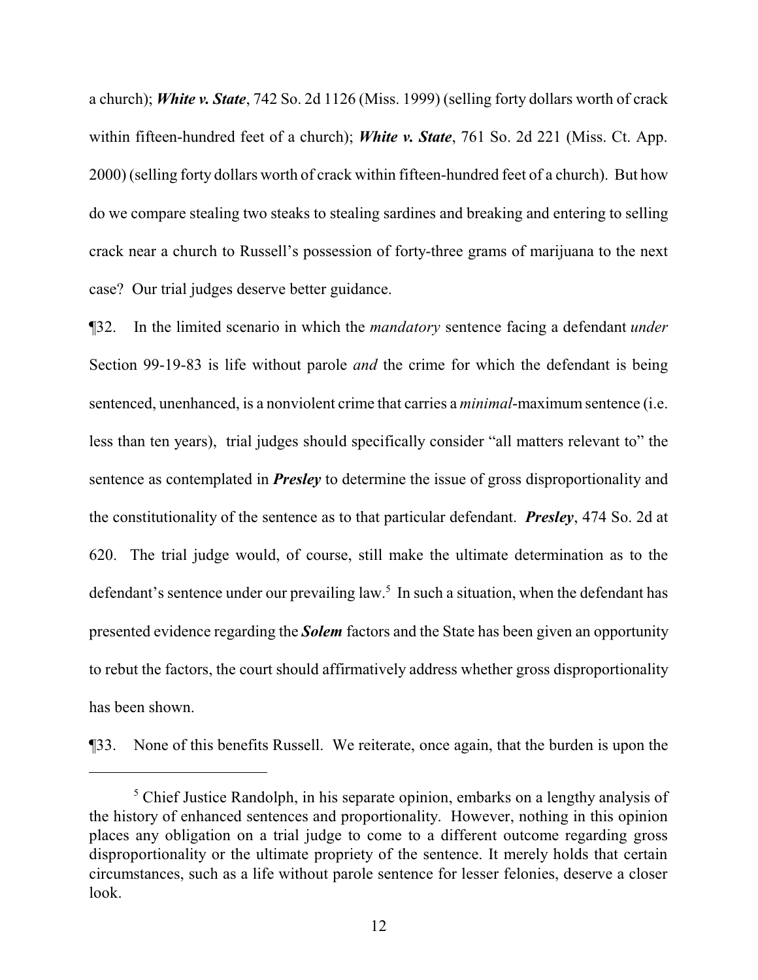a church); *White v. State*, 742 So. 2d 1126 (Miss. 1999) (selling forty dollars worth of crack within fifteen-hundred feet of a church); *White v. State*, 761 So. 2d 221 (Miss. Ct. App. 2000) (selling forty dollars worth of crack within fifteen-hundred feet of a church). But how do we compare stealing two steaks to stealing sardines and breaking and entering to selling crack near a church to Russell's possession of forty-three grams of marijuana to the next case? Our trial judges deserve better guidance.

¶32. In the limited scenario in which the *mandatory* sentence facing a defendant *under* Section 99-19-83 is life without parole *and* the crime for which the defendant is being sentenced, unenhanced, is a nonviolent crime that carries a *minimal*-maximum sentence (i.e. less than ten years), trial judges should specifically consider "all matters relevant to" the sentence as contemplated in *Presley* to determine the issue of gross disproportionality and the constitutionality of the sentence as to that particular defendant. *Presley*, 474 So. 2d at 620. The trial judge would, of course, still make the ultimate determination as to the defendant's sentence under our prevailing law.<sup>5</sup> In such a situation, when the defendant has presented evidence regarding the *Solem* factors and the State has been given an opportunity to rebut the factors, the court should affirmatively address whether gross disproportionality has been shown.

¶33. None of this benefits Russell. We reiterate, once again, that the burden is upon the

<sup>&</sup>lt;sup>5</sup> Chief Justice Randolph, in his separate opinion, embarks on a lengthy analysis of the history of enhanced sentences and proportionality. However, nothing in this opinion places any obligation on a trial judge to come to a different outcome regarding gross disproportionality or the ultimate propriety of the sentence. It merely holds that certain circumstances, such as a life without parole sentence for lesser felonies, deserve a closer look.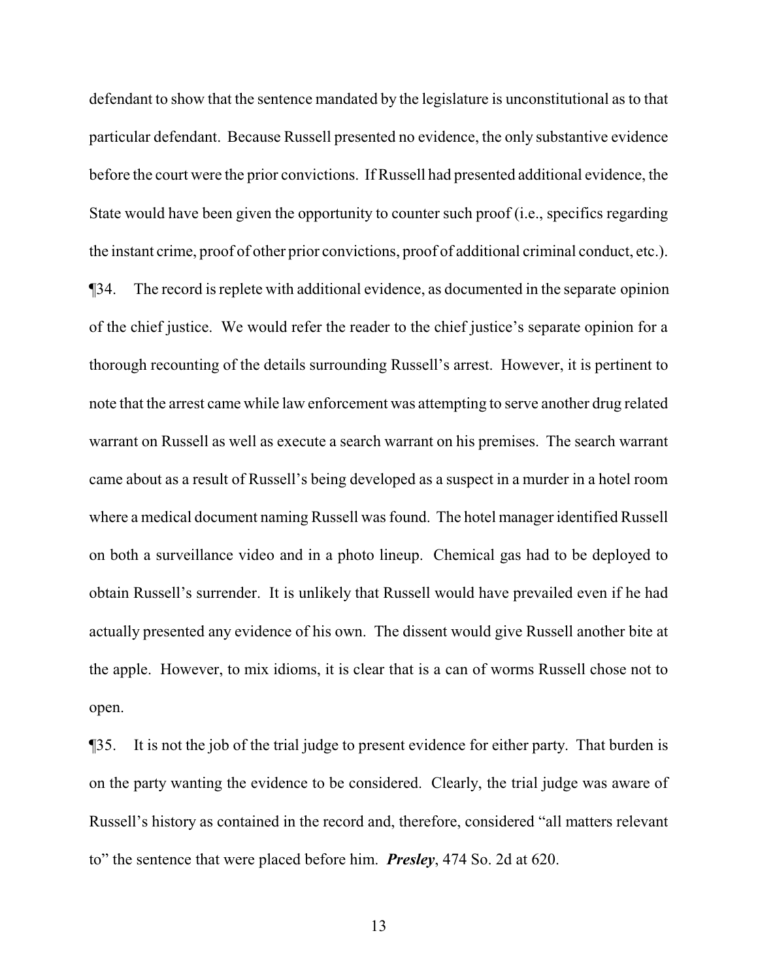defendant to show that the sentence mandated by the legislature is unconstitutional as to that particular defendant. Because Russell presented no evidence, the only substantive evidence before the court were the prior convictions. If Russell had presented additional evidence, the State would have been given the opportunity to counter such proof (i.e., specifics regarding the instant crime, proof of other prior convictions, proof of additional criminal conduct, etc.). ¶34. The record is replete with additional evidence, as documented in the separate opinion of the chief justice. We would refer the reader to the chief justice's separate opinion for a thorough recounting of the details surrounding Russell's arrest. However, it is pertinent to note that the arrest came while law enforcement was attempting to serve another drug related warrant on Russell as well as execute a search warrant on his premises. The search warrant came about as a result of Russell's being developed as a suspect in a murder in a hotel room where a medical document naming Russell was found. The hotel manager identified Russell on both a surveillance video and in a photo lineup. Chemical gas had to be deployed to obtain Russell's surrender. It is unlikely that Russell would have prevailed even if he had actually presented any evidence of his own. The dissent would give Russell another bite at the apple. However, to mix idioms, it is clear that is a can of worms Russell chose not to open.

¶35. It is not the job of the trial judge to present evidence for either party. That burden is on the party wanting the evidence to be considered. Clearly, the trial judge was aware of Russell's history as contained in the record and, therefore, considered "all matters relevant to" the sentence that were placed before him. *Presley*, 474 So. 2d at 620.

13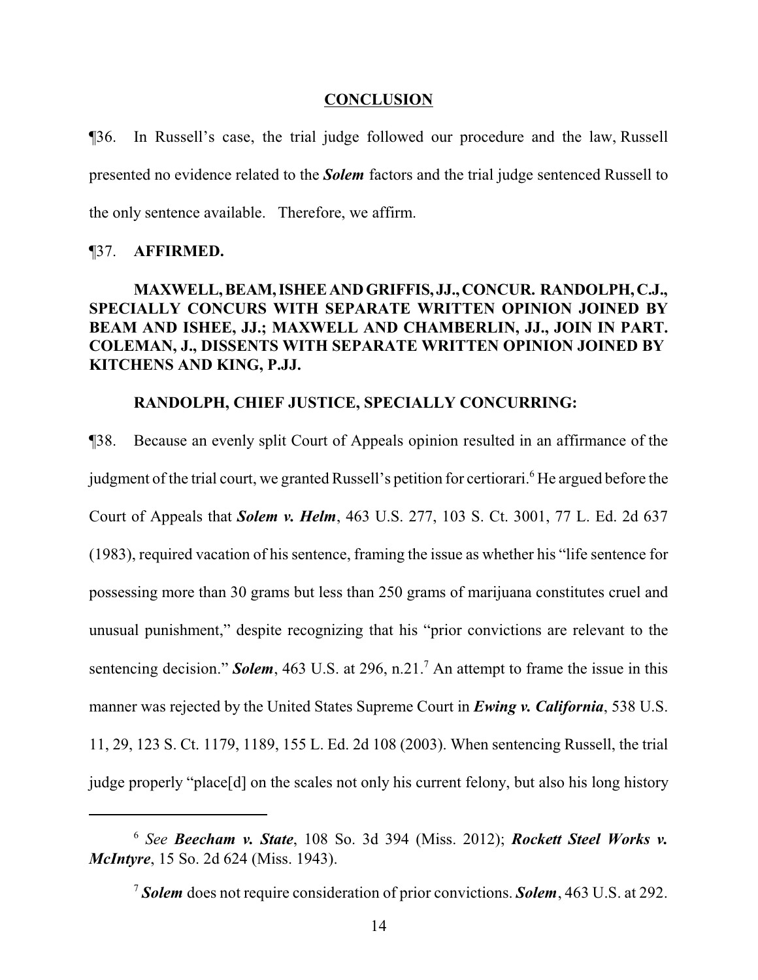#### **CONCLUSION**

¶36. In Russell's case, the trial judge followed our procedure and the law, Russell presented no evidence related to the *Solem* factors and the trial judge sentenced Russell to the only sentence available. Therefore, we affirm.

#### ¶37. **AFFIRMED.**

## **MAXWELL,BEAM,ISHEEANDGRIFFIS, JJ.,CONCUR. RANDOLPH,C.J., SPECIALLY CONCURS WITH SEPARATE WRITTEN OPINION JOINED BY BEAM AND ISHEE, JJ.; MAXWELL AND CHAMBERLIN, JJ., JOIN IN PART. COLEMAN, J., DISSENTS WITH SEPARATE WRITTEN OPINION JOINED BY KITCHENS AND KING, P.JJ.**

## **RANDOLPH, CHIEF JUSTICE, SPECIALLY CONCURRING:**

¶38. Because an evenly split Court of Appeals opinion resulted in an affirmance of the judgment of the trial court, we granted Russell's petition for certiorari.<sup>6</sup> He argued before the Court of Appeals that *Solem v. Helm*, 463 U.S. 277, 103 S. Ct. 3001, 77 L. Ed. 2d 637 (1983), required vacation of his sentence, framing the issue as whether his "life sentence for possessing more than 30 grams but less than 250 grams of marijuana constitutes cruel and unusual punishment," despite recognizing that his "prior convictions are relevant to the sentencing decision." *Solem*, 463 U.S. at 296, n.21.<sup>7</sup> An attempt to frame the issue in this manner was rejected by the United States Supreme Court in *Ewing v. California*, 538 U.S. 11, 29, 123 S. Ct. 1179, 1189, 155 L. Ed. 2d 108 (2003). When sentencing Russell, the trial judge properly "place[d] on the scales not only his current felony, but also his long history

<sup>6</sup> *See Beecham v. State*, 108 So. 3d 394 (Miss. 2012); *Rockett Steel Works v. McIntyre*, 15 So. 2d 624 (Miss. 1943).

<sup>7</sup> *Solem* does not require consideration of prior convictions. *Solem*, 463 U.S. at 292.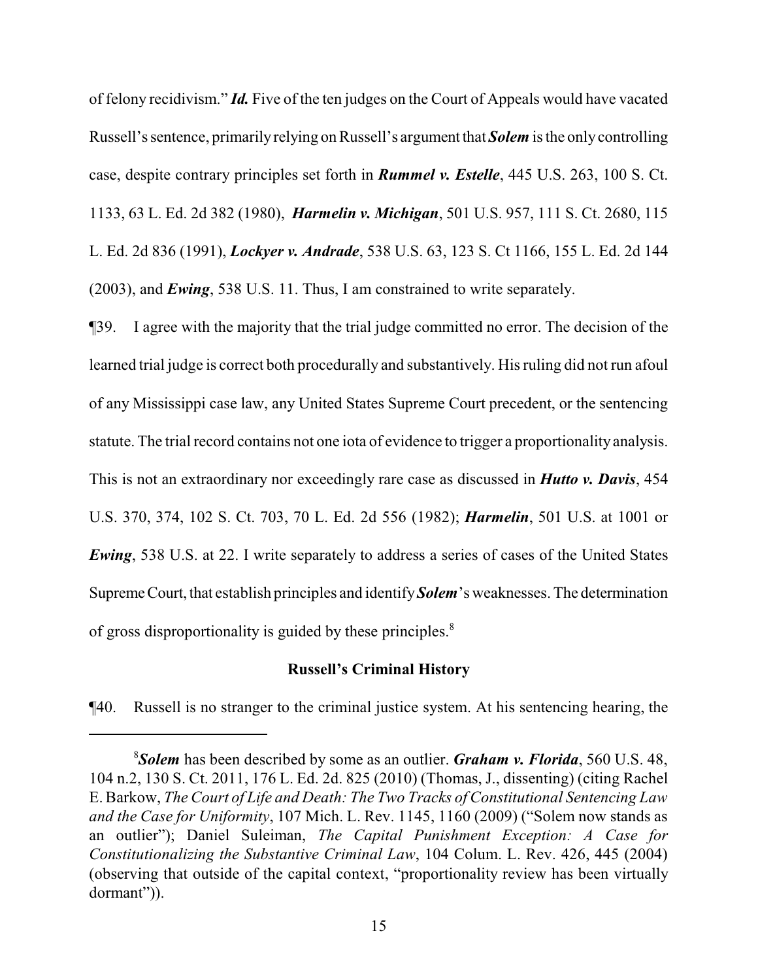of felony recidivism." *Id.* Five of the ten judges on the Court of Appeals would have vacated Russell's sentence, primarily relying on Russell's argument that *Solem* is the only controlling case, despite contrary principles set forth in *Rummel v. Estelle*, 445 U.S. 263, 100 S. Ct. 1133, 63 L. Ed. 2d 382 (1980), *Harmelin v. Michigan*, 501 U.S. 957, 111 S. Ct. 2680, 115 L. Ed. 2d 836 (1991), *Lockyer v. Andrade*, 538 U.S. 63, 123 S. Ct 1166, 155 L. Ed. 2d 144 (2003), and *Ewing*, 538 U.S. 11. Thus, I am constrained to write separately.

¶39. I agree with the majority that the trial judge committed no error. The decision of the learned trial judge is correct both procedurally and substantively. His ruling did not run afoul of any Mississippi case law, any United States Supreme Court precedent, or the sentencing statute. The trial record contains not one iota of evidence to trigger a proportionality analysis. This is not an extraordinary nor exceedingly rare case as discussed in *Hutto v. Davis*, 454 U.S. 370, 374, 102 S. Ct. 703, 70 L. Ed. 2d 556 (1982); *Harmelin*, 501 U.S. at 1001 or *Ewing*, 538 U.S. at 22. I write separately to address a series of cases of the United States Supreme Court, that establish principles and identify **Solem**'s weaknesses. The determination of gross disproportionality is guided by these principles.<sup>8</sup>

## **Russell's Criminal History**

¶40. Russell is no stranger to the criminal justice system. At his sentencing hearing, the

<sup>8</sup>*Solem* has been described by some as an outlier. *Graham v. Florida*, 560 U.S. 48, 104 n.2, 130 S. Ct. 2011, 176 L. Ed. 2d. 825 (2010) (Thomas, J., dissenting) (citing Rachel E.Barkow, *The Court of Life and Death: The Two Tracks of Constitutional Sentencing Law and the Case for Uniformity*, 107 Mich. L. Rev. 1145, 1160 (2009) ("Solem now stands as an outlier"); Daniel Suleiman, *The Capital Punishment Exception: A Case for Constitutionalizing the Substantive Criminal Law*, 104 Colum. L. Rev. 426, 445 (2004) (observing that outside of the capital context, "proportionality review has been virtually dormant")).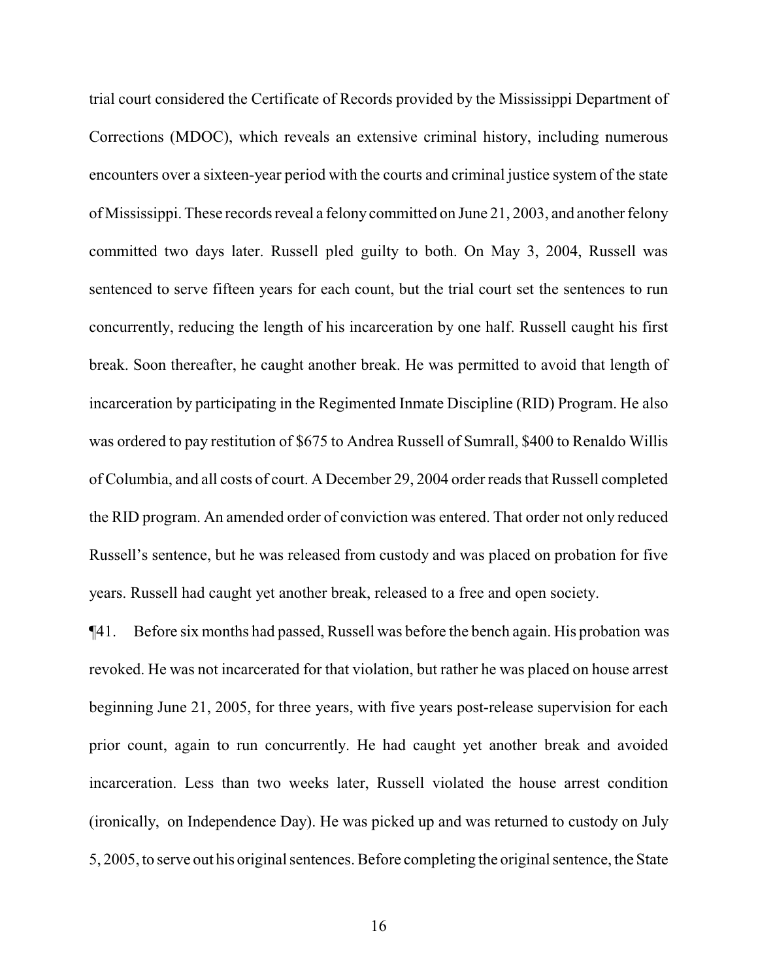trial court considered the Certificate of Records provided by the Mississippi Department of Corrections (MDOC), which reveals an extensive criminal history, including numerous encounters over a sixteen-year period with the courts and criminal justice system of the state of Mississippi. These records reveal a felony committed on June 21, 2003, and another felony committed two days later. Russell pled guilty to both. On May 3, 2004, Russell was sentenced to serve fifteen years for each count, but the trial court set the sentences to run concurrently, reducing the length of his incarceration by one half. Russell caught his first break. Soon thereafter, he caught another break. He was permitted to avoid that length of incarceration by participating in the Regimented Inmate Discipline (RID) Program. He also was ordered to pay restitution of \$675 to Andrea Russell of Sumrall, \$400 to Renaldo Willis of Columbia, and all costs of court. A December 29, 2004 order reads that Russell completed the RID program. An amended order of conviction was entered. That order not only reduced Russell's sentence, but he was released from custody and was placed on probation for five years. Russell had caught yet another break, released to a free and open society.

¶41. Before six months had passed, Russell was before the bench again. His probation was revoked. He was not incarcerated for that violation, but rather he was placed on house arrest beginning June 21, 2005, for three years, with five years post-release supervision for each prior count, again to run concurrently. He had caught yet another break and avoided incarceration. Less than two weeks later, Russell violated the house arrest condition (ironically, on Independence Day). He was picked up and was returned to custody on July 5, 2005, to serve out his original sentences. Before completing the original sentence, the State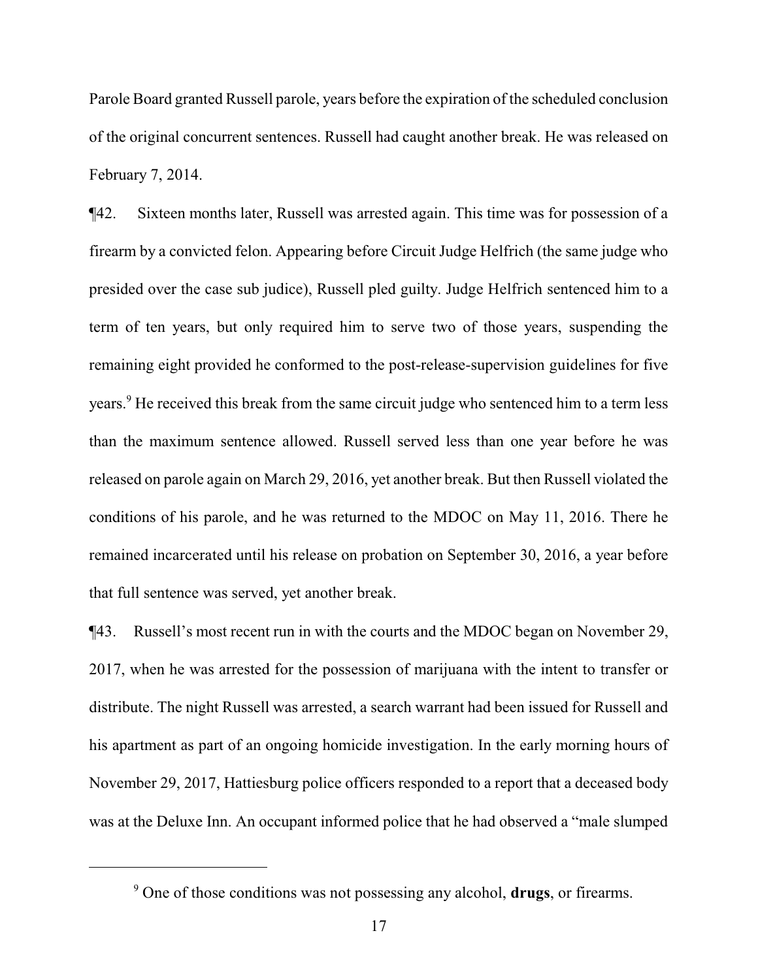Parole Board granted Russell parole, years before the expiration of the scheduled conclusion of the original concurrent sentences. Russell had caught another break. He was released on February 7, 2014.

¶42. Sixteen months later, Russell was arrested again. This time was for possession of a firearm by a convicted felon. Appearing before Circuit Judge Helfrich (the same judge who presided over the case sub judice), Russell pled guilty. Judge Helfrich sentenced him to a term of ten years, but only required him to serve two of those years, suspending the remaining eight provided he conformed to the post-release-supervision guidelines for five years.<sup>9</sup> He received this break from the same circuit judge who sentenced him to a term less than the maximum sentence allowed. Russell served less than one year before he was released on parole again on March 29, 2016, yet another break. But then Russell violated the conditions of his parole, and he was returned to the MDOC on May 11, 2016. There he remained incarcerated until his release on probation on September 30, 2016, a year before that full sentence was served, yet another break.

¶43. Russell's most recent run in with the courts and the MDOC began on November 29, 2017, when he was arrested for the possession of marijuana with the intent to transfer or distribute. The night Russell was arrested, a search warrant had been issued for Russell and his apartment as part of an ongoing homicide investigation. In the early morning hours of November 29, 2017, Hattiesburg police officers responded to a report that a deceased body was at the Deluxe Inn. An occupant informed police that he had observed a "male slumped

<sup>9</sup> One of those conditions was not possessing any alcohol, **drugs**, or firearms.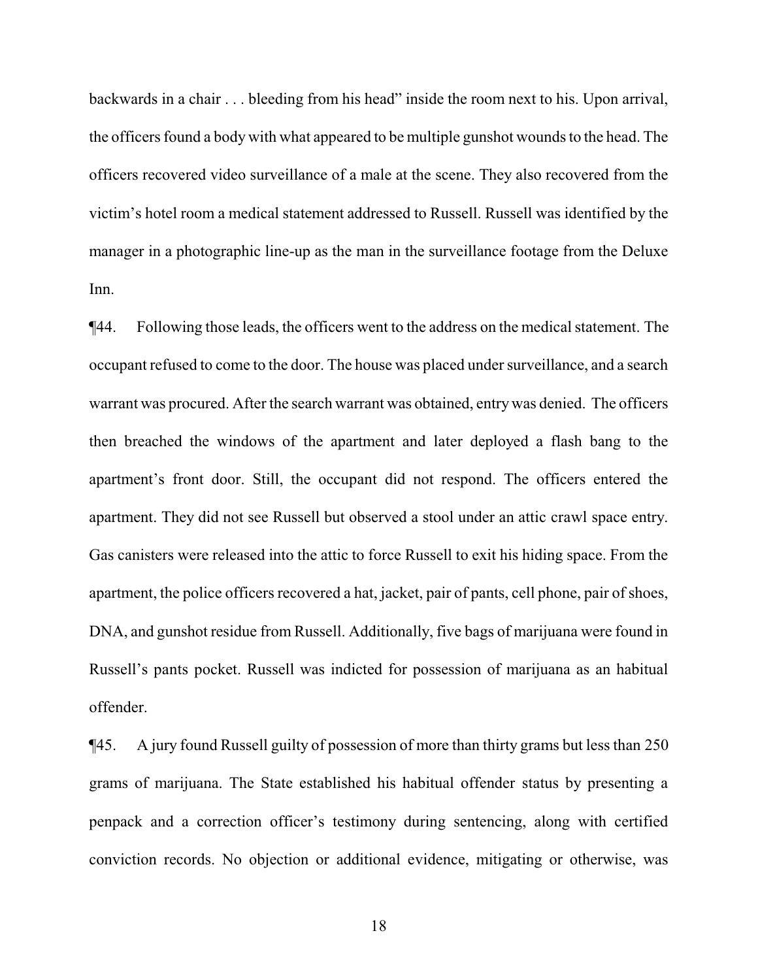backwards in a chair . . . bleeding from his head" inside the room next to his. Upon arrival, the officers found a body with what appeared to be multiple gunshot wounds to the head. The officers recovered video surveillance of a male at the scene. They also recovered from the victim's hotel room a medical statement addressed to Russell. Russell was identified by the manager in a photographic line-up as the man in the surveillance footage from the Deluxe Inn.

¶44. Following those leads, the officers went to the address on the medical statement. The occupant refused to come to the door. The house was placed under surveillance, and a search warrant was procured. After the search warrant was obtained, entrywas denied. The officers then breached the windows of the apartment and later deployed a flash bang to the apartment's front door. Still, the occupant did not respond. The officers entered the apartment. They did not see Russell but observed a stool under an attic crawl space entry. Gas canisters were released into the attic to force Russell to exit his hiding space. From the apartment, the police officers recovered a hat, jacket, pair of pants, cell phone, pair of shoes, DNA, and gunshot residue from Russell. Additionally, five bags of marijuana were found in Russell's pants pocket. Russell was indicted for possession of marijuana as an habitual offender.

¶45. A jury found Russell guilty of possession of more than thirty grams but less than 250 grams of marijuana. The State established his habitual offender status by presenting a penpack and a correction officer's testimony during sentencing, along with certified conviction records. No objection or additional evidence, mitigating or otherwise, was

18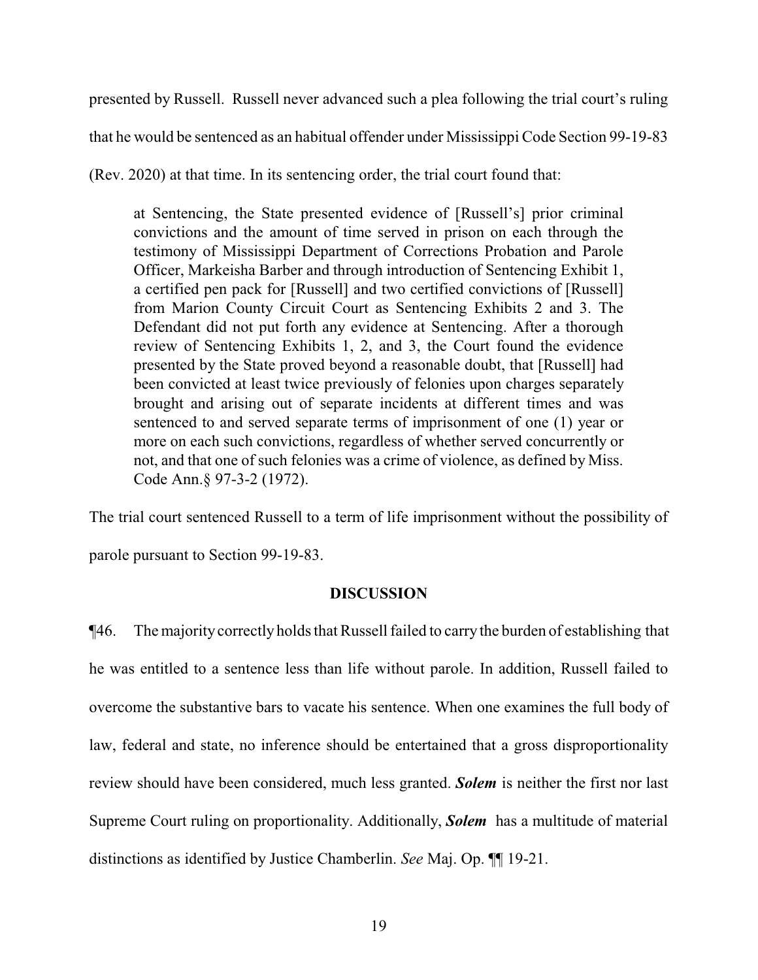presented by Russell. Russell never advanced such a plea following the trial court's ruling that he would be sentenced as an habitual offender under Mississippi Code Section 99-19-83

(Rev. 2020) at that time. In its sentencing order, the trial court found that:

at Sentencing, the State presented evidence of [Russell's] prior criminal convictions and the amount of time served in prison on each through the testimony of Mississippi Department of Corrections Probation and Parole Officer, Markeisha Barber and through introduction of Sentencing Exhibit 1, a certified pen pack for [Russell] and two certified convictions of [Russell] from Marion County Circuit Court as Sentencing Exhibits 2 and 3. The Defendant did not put forth any evidence at Sentencing. After a thorough review of Sentencing Exhibits 1, 2, and 3, the Court found the evidence presented by the State proved beyond a reasonable doubt, that [Russell] had been convicted at least twice previously of felonies upon charges separately brought and arising out of separate incidents at different times and was sentenced to and served separate terms of imprisonment of one (1) year or more on each such convictions, regardless of whether served concurrently or not, and that one of such felonies was a crime of violence, as defined by Miss. Code Ann.§ 97-3-2 (1972).

The trial court sentenced Russell to a term of life imprisonment without the possibility of parole pursuant to Section 99-19-83.

## **DISCUSSION**

¶46. The majority correctly holds that Russell failed to carry the burden of establishing that he was entitled to a sentence less than life without parole. In addition, Russell failed to overcome the substantive bars to vacate his sentence. When one examines the full body of law, federal and state, no inference should be entertained that a gross disproportionality review should have been considered, much less granted. *Solem* is neither the first nor last Supreme Court ruling on proportionality. Additionally, *Solem* has a multitude of material distinctions as identified by Justice Chamberlin. *See* Maj. Op. ¶¶ 19-21.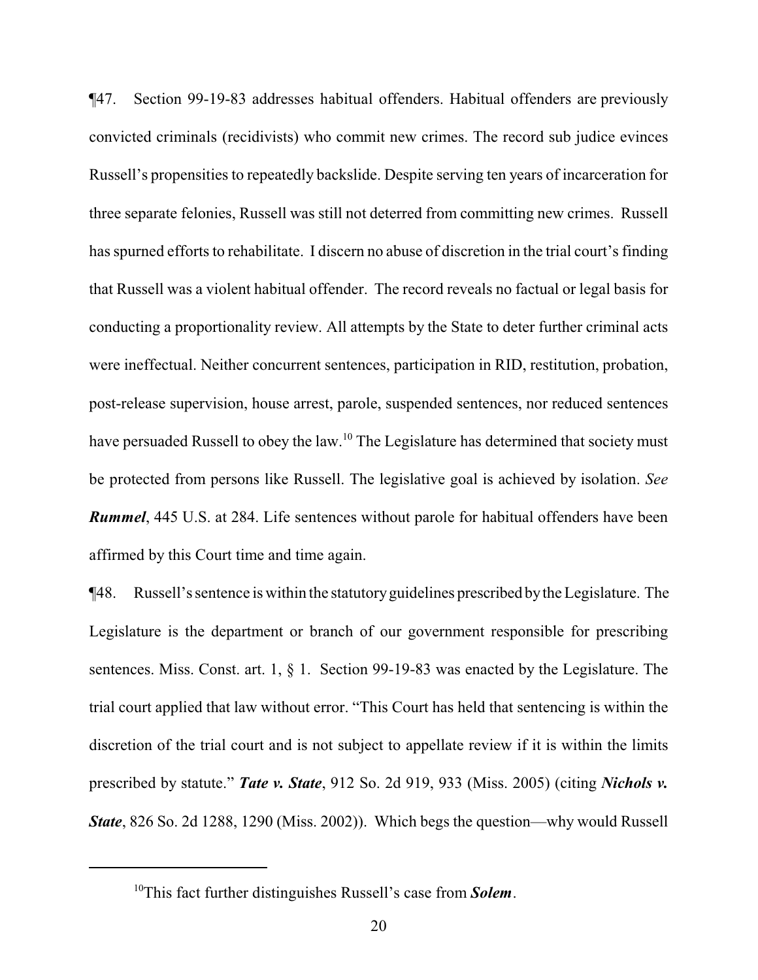¶47. Section 99-19-83 addresses habitual offenders. Habitual offenders are previously convicted criminals (recidivists) who commit new crimes. The record sub judice evinces Russell's propensities to repeatedly backslide. Despite serving ten years of incarceration for three separate felonies, Russell was still not deterred from committing new crimes. Russell has spurned efforts to rehabilitate. I discern no abuse of discretion in the trial court's finding that Russell was a violent habitual offender. The record reveals no factual or legal basis for conducting a proportionality review. All attempts by the State to deter further criminal acts were ineffectual. Neither concurrent sentences, participation in RID, restitution, probation, post-release supervision, house arrest, parole, suspended sentences, nor reduced sentences have persuaded Russell to obey the law.<sup>10</sup> The Legislature has determined that society must be protected from persons like Russell. The legislative goal is achieved by isolation. *See Rummel*, 445 U.S. at 284. Life sentences without parole for habitual offenders have been affirmed by this Court time and time again.

¶48. Russell's sentence is within the statutoryguidelines prescribed bythe Legislature. The Legislature is the department or branch of our government responsible for prescribing sentences. Miss. Const. art. 1, § 1. Section 99-19-83 was enacted by the Legislature. The trial court applied that law without error. "This Court has held that sentencing is within the discretion of the trial court and is not subject to appellate review if it is within the limits prescribed by statute." *Tate v. State*, 912 So. 2d 919, 933 (Miss. 2005) (citing *Nichols v. State*, 826 So. 2d 1288, 1290 (Miss. 2002)). Which begs the question—why would Russell

<sup>10</sup>This fact further distinguishes Russell's case from *Solem*.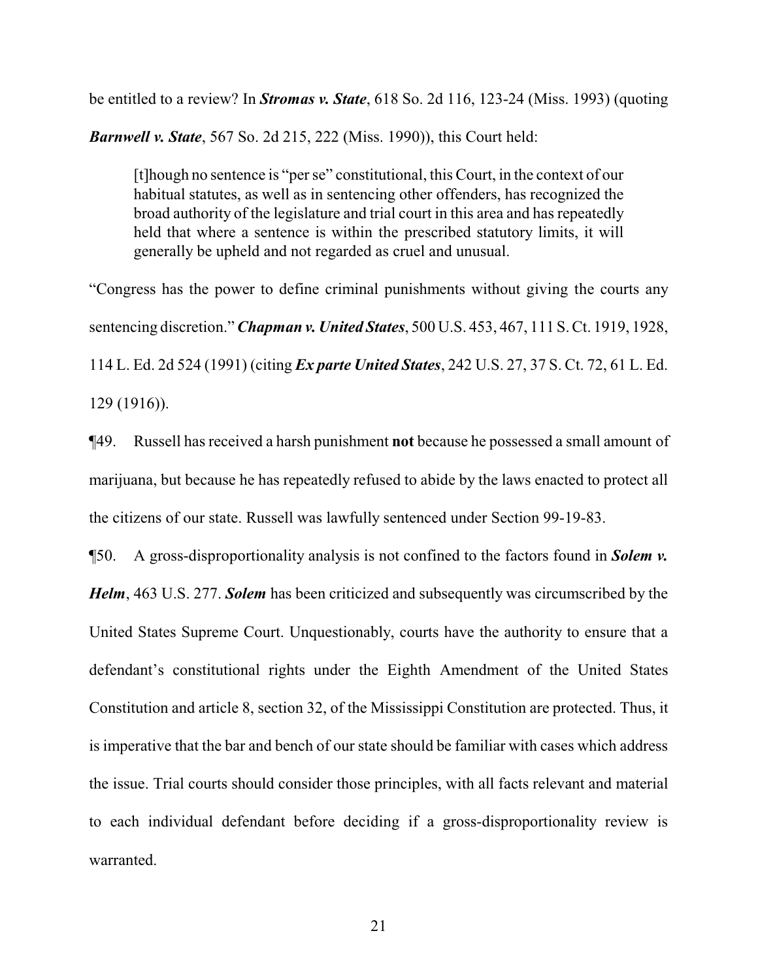be entitled to a review? In *Stromas v. State*, 618 So. 2d 116, 123-24 (Miss. 1993) (quoting

*Barnwell v. State*, 567 So. 2d 215, 222 (Miss. 1990)), this Court held:

[t]hough no sentence is "per se" constitutional, this Court, in the context of our habitual statutes, as well as in sentencing other offenders, has recognized the broad authority of the legislature and trial court in this area and has repeatedly held that where a sentence is within the prescribed statutory limits, it will generally be upheld and not regarded as cruel and unusual.

"Congress has the power to define criminal punishments without giving the courts any sentencing discretion." *Chapman v. United States*, 500 U.S. 453, 467, 111 S. Ct. 1919, 1928, 114 L. Ed. 2d 524 (1991) (citing *Ex parte United States*, 242 U.S. 27, 37 S. Ct. 72, 61 L. Ed. 129 (1916)).

¶49. Russell has received a harsh punishment **not** because he possessed a small amount of marijuana, but because he has repeatedly refused to abide by the laws enacted to protect all the citizens of our state. Russell was lawfully sentenced under Section 99-19-83.

¶50. A gross-disproportionality analysis is not confined to the factors found in *Solem v. Helm*, 463 U.S. 277. *Solem* has been criticized and subsequently was circumscribed by the United States Supreme Court. Unquestionably, courts have the authority to ensure that a defendant's constitutional rights under the Eighth Amendment of the United States Constitution and article 8, section 32, of the Mississippi Constitution are protected. Thus, it is imperative that the bar and bench of our state should be familiar with cases which address the issue. Trial courts should consider those principles, with all facts relevant and material to each individual defendant before deciding if a gross-disproportionality review is warranted.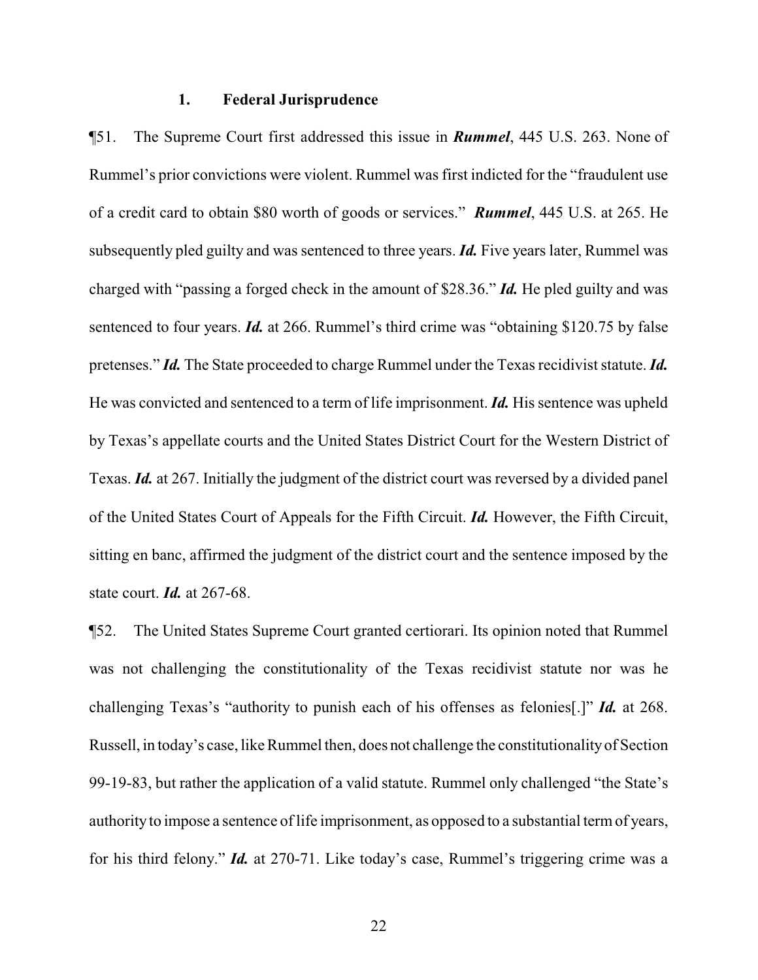#### **1. Federal Jurisprudence**

¶51. The Supreme Court first addressed this issue in *Rummel*, 445 U.S. 263. None of Rummel's prior convictions were violent. Rummel was first indicted for the "fraudulent use of a credit card to obtain \$80 worth of goods or services." *Rummel*, 445 U.S. at 265. He subsequently pled guilty and was sentenced to three years. *Id.* Five years later, Rummel was charged with "passing a forged check in the amount of \$28.36." *Id.* He pled guilty and was sentenced to four years. *Id.* at 266. Rummel's third crime was "obtaining \$120.75 by false pretenses." *Id.* The State proceeded to charge Rummel under the Texas recidivist statute. *Id.* He was convicted and sentenced to a term of life imprisonment. *Id.* His sentence was upheld by Texas's appellate courts and the United States District Court for the Western District of Texas. *Id.* at 267. Initially the judgment of the district court was reversed by a divided panel of the United States Court of Appeals for the Fifth Circuit. *Id.* However, the Fifth Circuit, sitting en banc, affirmed the judgment of the district court and the sentence imposed by the state court. *Id.* at 267-68.

¶52. The United States Supreme Court granted certiorari. Its opinion noted that Rummel was not challenging the constitutionality of the Texas recidivist statute nor was he challenging Texas's "authority to punish each of his offenses as felonies[.]" *Id.* at 268. Russell, in today's case, like Rummel then, does not challenge the constitutionalityof Section 99-19-83, but rather the application of a valid statute. Rummel only challenged "the State's authorityto impose a sentence of life imprisonment, as opposed to a substantial termof years, for his third felony." *Id.* at 270-71. Like today's case, Rummel's triggering crime was a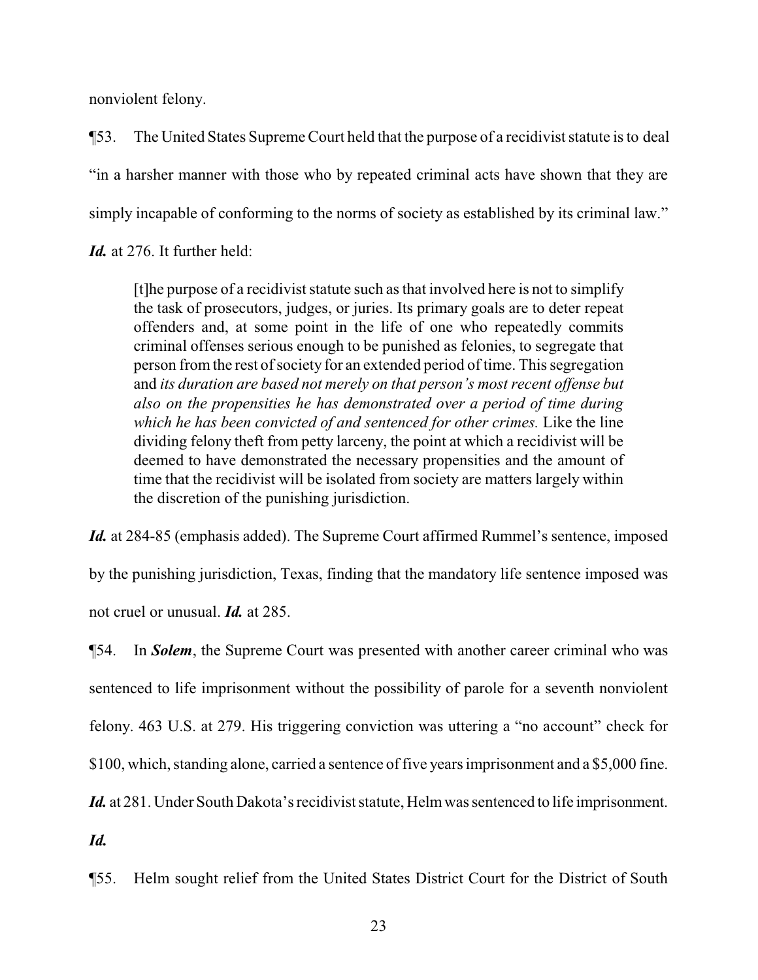nonviolent felony.

¶53. The United States SupremeCourt held that the purpose of a recidivist statute is to deal "in a harsher manner with those who by repeated criminal acts have shown that they are simply incapable of conforming to the norms of society as established by its criminal law."

*Id.* at 276. It further held:

[t]he purpose of a recidivist statute such as that involved here is not to simplify the task of prosecutors, judges, or juries. Its primary goals are to deter repeat offenders and, at some point in the life of one who repeatedly commits criminal offenses serious enough to be punished as felonies, to segregate that person fromthe rest ofsociety for an extended period of time. This segregation and *its duration are based not merely on that person's most recent offense but also on the propensities he has demonstrated over a period of time during which he has been convicted of and sentenced for other crimes.* Like the line dividing felony theft from petty larceny, the point at which a recidivist will be deemed to have demonstrated the necessary propensities and the amount of time that the recidivist will be isolated from society are matters largely within the discretion of the punishing jurisdiction.

*Id.* at 284-85 (emphasis added). The Supreme Court affirmed Rummel's sentence, imposed

by the punishing jurisdiction, Texas, finding that the mandatory life sentence imposed was not cruel or unusual. *Id.* at 285.

¶54. In *Solem*, the Supreme Court was presented with another career criminal who was sentenced to life imprisonment without the possibility of parole for a seventh nonviolent felony. 463 U.S. at 279. His triggering conviction was uttering a "no account" check for \$100, which, standing alone, carried a sentence of five years imprisonment and a \$5,000 fine.

*Id.* at 281. Under South Dakota's recidivist statute, Helmwas sentenced to life imprisonment.

*Id.*

¶55. Helm sought relief from the United States District Court for the District of South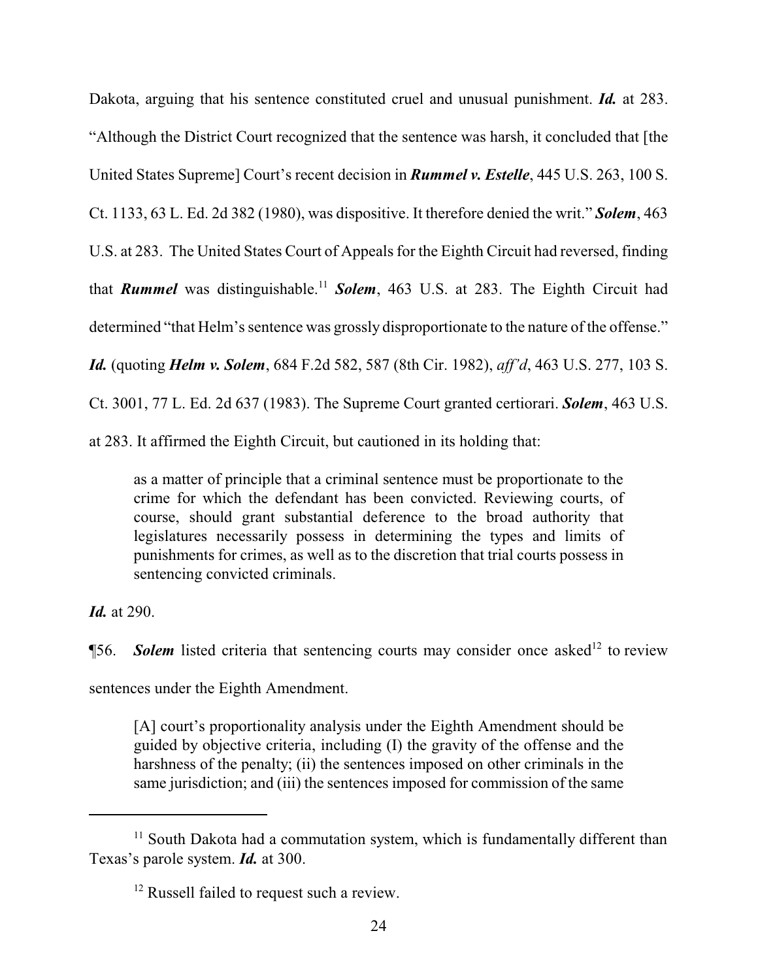Dakota, arguing that his sentence constituted cruel and unusual punishment. *Id.* at 283. "Although the District Court recognized that the sentence was harsh, it concluded that [the United States Supreme] Court's recent decision in *Rummel v. Estelle*, 445 U.S. 263, 100 S. Ct. 1133, 63 L. Ed. 2d 382 (1980), was dispositive. It therefore denied the writ." *Solem*, 463 U.S. at 283. The United States Court of Appeals for the Eighth Circuit had reversed, finding that *Rummel* was distinguishable.<sup>11</sup> *Solem*, 463 U.S. at 283. The Eighth Circuit had determined "that Helm's sentence was grossly disproportionate to the nature of the offense." *Id.* (quoting *Helm v. Solem*, 684 F.2d 582, 587 (8th Cir. 1982), *aff'd*, 463 U.S. 277, 103 S. Ct. 3001, 77 L. Ed. 2d 637 (1983). The Supreme Court granted certiorari. *Solem*, 463 U.S. at 283. It affirmed the Eighth Circuit, but cautioned in its holding that:

as a matter of principle that a criminal sentence must be proportionate to the crime for which the defendant has been convicted. Reviewing courts, of course, should grant substantial deference to the broad authority that legislatures necessarily possess in determining the types and limits of punishments for crimes, as well as to the discretion that trial courts possess in sentencing convicted criminals.

*Id.* at 290.

**156.** Solem listed criteria that sentencing courts may consider once asked<sup>12</sup> to review sentences under the Eighth Amendment.

[A] court's proportionality analysis under the Eighth Amendment should be guided by objective criteria, including (I) the gravity of the offense and the harshness of the penalty; (ii) the sentences imposed on other criminals in the same jurisdiction; and (iii) the sentences imposed for commission of the same

<sup>&</sup>lt;sup>11</sup> South Dakota had a commutation system, which is fundamentally different than Texas's parole system. *Id.* at 300.

<sup>&</sup>lt;sup>12</sup> Russell failed to request such a review.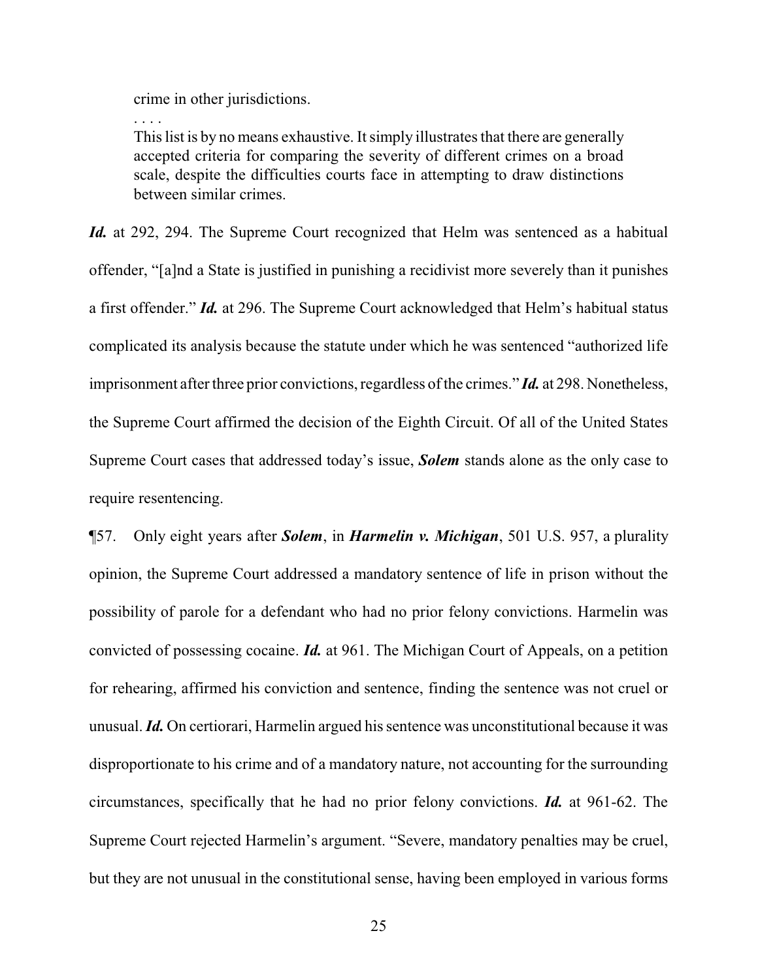crime in other jurisdictions.

. . . .

This list is by no means exhaustive. It simply illustrates that there are generally accepted criteria for comparing the severity of different crimes on a broad scale, despite the difficulties courts face in attempting to draw distinctions between similar crimes.

*Id.* at 292, 294. The Supreme Court recognized that Helm was sentenced as a habitual offender, "[a]nd a State is justified in punishing a recidivist more severely than it punishes a first offender." *Id.* at 296. The Supreme Court acknowledged that Helm's habitual status complicated its analysis because the statute under which he was sentenced "authorized life imprisonment after three prior convictions, regardless of the crimes." *Id.* at 298. Nonetheless, the Supreme Court affirmed the decision of the Eighth Circuit. Of all of the United States Supreme Court cases that addressed today's issue, *Solem* stands alone as the only case to require resentencing.

¶57. Only eight years after *Solem*, in *Harmelin v. Michigan*, 501 U.S. 957, a plurality opinion, the Supreme Court addressed a mandatory sentence of life in prison without the possibility of parole for a defendant who had no prior felony convictions. Harmelin was convicted of possessing cocaine. *Id.* at 961. The Michigan Court of Appeals, on a petition for rehearing, affirmed his conviction and sentence, finding the sentence was not cruel or unusual. *Id.* On certiorari, Harmelin argued his sentence was unconstitutional because it was disproportionate to his crime and of a mandatory nature, not accounting for the surrounding circumstances, specifically that he had no prior felony convictions. *Id.* at 961-62. The Supreme Court rejected Harmelin's argument. "Severe, mandatory penalties may be cruel, but they are not unusual in the constitutional sense, having been employed in various forms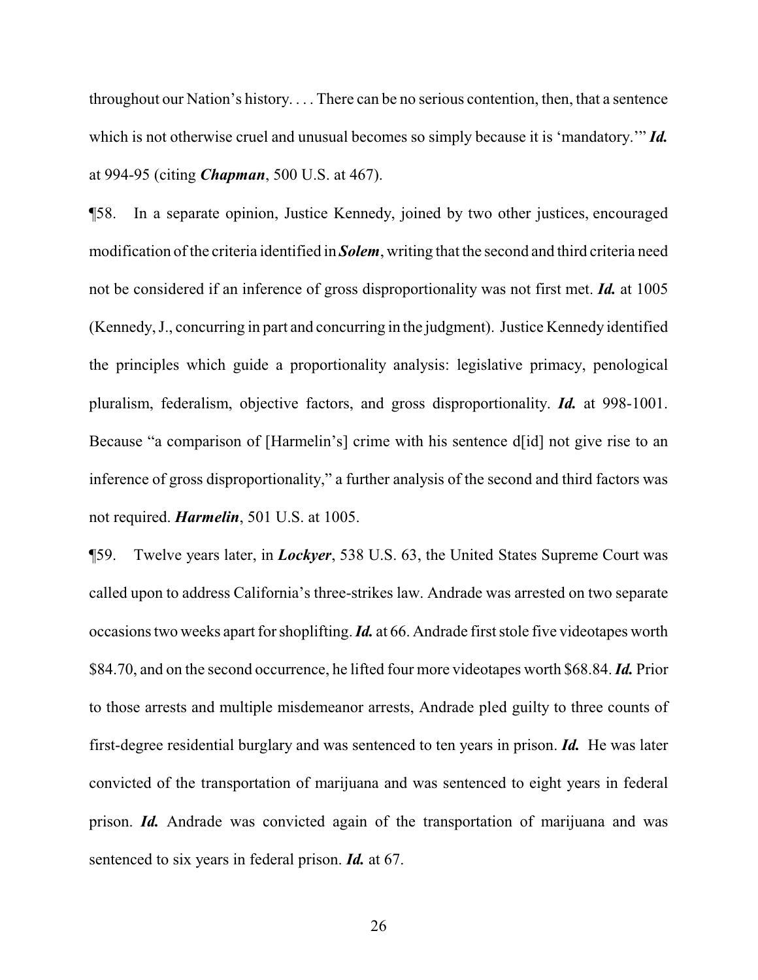throughout our Nation's history. . . . There can be no serious contention, then, that a sentence which is not otherwise cruel and unusual becomes so simply because it is 'mandatory.'" *Id.* at 994-95 (citing *Chapman*, 500 U.S. at 467).

¶58. In a separate opinion, Justice Kennedy, joined by two other justices, encouraged modification of the criteria identified in *Solem*, writing that the second and third criteria need not be considered if an inference of gross disproportionality was not first met. *Id.* at 1005 (Kennedy, J., concurring in part and concurring in the judgment). Justice Kennedy identified the principles which guide a proportionality analysis: legislative primacy, penological pluralism, federalism, objective factors, and gross disproportionality. *Id.* at 998-1001. Because "a comparison of [Harmelin's] crime with his sentence d[id] not give rise to an inference of gross disproportionality," a further analysis of the second and third factors was not required. *Harmelin*, 501 U.S. at 1005.

¶59. Twelve years later, in *Lockyer*, 538 U.S. 63, the United States Supreme Court was called upon to address California's three-strikes law. Andrade was arrested on two separate occasions two weeks apart for shoplifting. *Id.* at 66. Andrade first stole five videotapes worth \$84.70, and on the second occurrence, he lifted four more videotapes worth \$68.84. *Id.* Prior to those arrests and multiple misdemeanor arrests, Andrade pled guilty to three counts of first-degree residential burglary and was sentenced to ten years in prison. *Id.* He was later convicted of the transportation of marijuana and was sentenced to eight years in federal prison. *Id.* Andrade was convicted again of the transportation of marijuana and was sentenced to six years in federal prison. *Id.* at 67.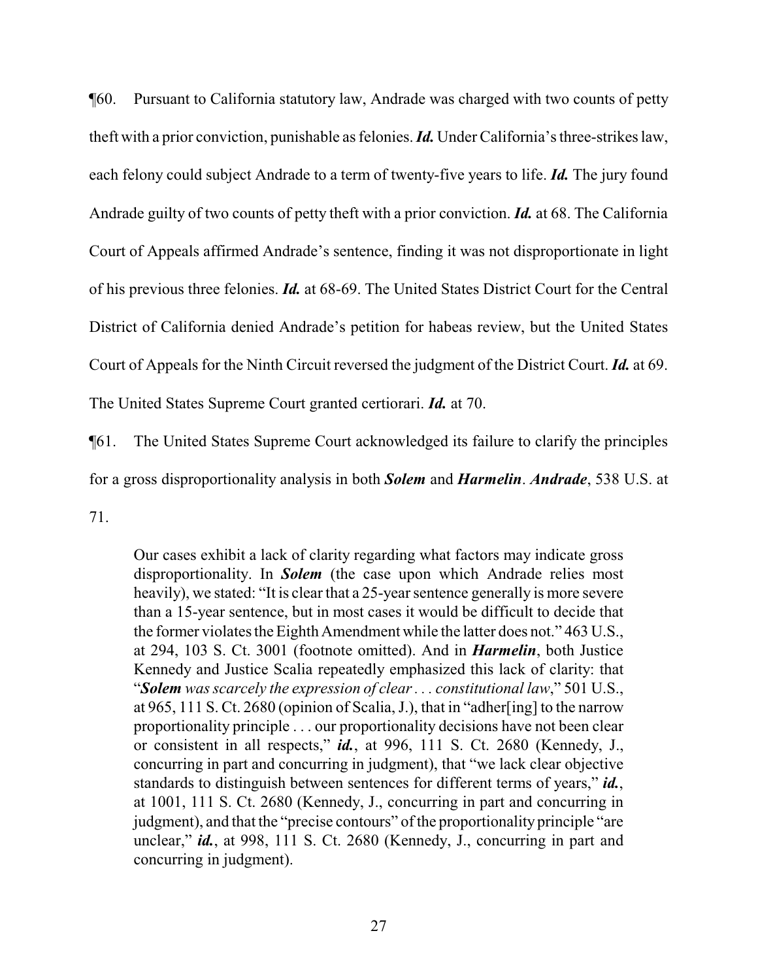¶60. Pursuant to California statutory law, Andrade was charged with two counts of petty theft with a prior conviction, punishable as felonies. *Id.* Under California's three-strikes law, each felony could subject Andrade to a term of twenty-five years to life. *Id.* The jury found Andrade guilty of two counts of petty theft with a prior conviction. *Id.* at 68. The California Court of Appeals affirmed Andrade's sentence, finding it was not disproportionate in light of his previous three felonies. *Id.* at 68-69. The United States District Court for the Central District of California denied Andrade's petition for habeas review, but the United States Court of Appeals for the Ninth Circuit reversed the judgment of the District Court. *Id.* at 69. The United States Supreme Court granted certiorari. *Id.* at 70.

¶61. The United States Supreme Court acknowledged its failure to clarify the principles

for a gross disproportionality analysis in both *Solem* and *Harmelin*. *Andrade*, 538 U.S. at

71.

Our cases exhibit a lack of clarity regarding what factors may indicate gross disproportionality. In *Solem* (the case upon which Andrade relies most heavily), we stated: "It is clear that a 25-year sentence generally is more severe than a 15-year sentence, but in most cases it would be difficult to decide that the former violates the Eighth Amendment while the latter does not." 463 U.S., at 294, 103 S. Ct. 3001 (footnote omitted). And in *Harmelin*, both Justice Kennedy and Justice Scalia repeatedly emphasized this lack of clarity: that "*Solem was scarcely the expression of clear . . . constitutional law*," 501 U.S., at 965, 111 S. Ct. 2680 (opinion of Scalia, J.), that in "adher[ing] to the narrow proportionality principle . . . our proportionality decisions have not been clear or consistent in all respects," *id.*, at 996, 111 S. Ct. 2680 (Kennedy, J., concurring in part and concurring in judgment), that "we lack clear objective standards to distinguish between sentences for different terms of years," *id.*, at 1001, 111 S. Ct. 2680 (Kennedy, J., concurring in part and concurring in judgment), and that the "precise contours" of the proportionality principle "are unclear," *id.*, at 998, 111 S. Ct. 2680 (Kennedy, J., concurring in part and concurring in judgment).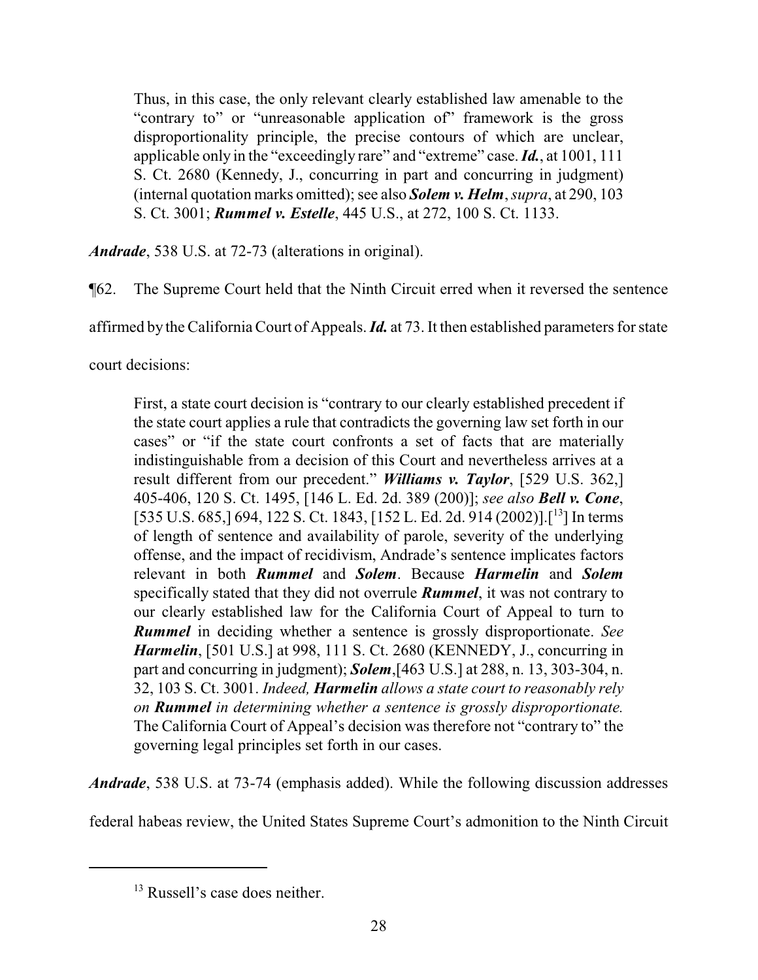Thus, in this case, the only relevant clearly established law amenable to the "contrary to" or "unreasonable application of" framework is the gross disproportionality principle, the precise contours of which are unclear, applicable only in the "exceedingly rare" and "extreme" case. *Id.*, at 1001, 111 S. Ct. 2680 (Kennedy, J., concurring in part and concurring in judgment) (internal quotation marks omitted); see also *Solem v. Helm*, *supra*, at 290, 103 S. Ct. 3001; *Rummel v. Estelle*, 445 U.S., at 272, 100 S. Ct. 1133.

*Andrade*, 538 U.S. at 72-73 (alterations in original).

¶62. The Supreme Court held that the Ninth Circuit erred when it reversed the sentence

affirmed by the California Court of Appeals. *Id.* at 73. It then established parameters for state

court decisions:

First, a state court decision is "contrary to our clearly established precedent if the state court applies a rule that contradicts the governing law set forth in our cases" or "if the state court confronts a set of facts that are materially indistinguishable from a decision of this Court and nevertheless arrives at a result different from our precedent." *Williams v. Taylor*, [529 U.S. 362,] 405-406, 120 S. Ct. 1495, [146 L. Ed. 2d. 389 (200)]; *see also Bell v. Cone*, [535 U.S. 685,] 694, 122 S. Ct. 1843, [152 L. Ed. 2d. 914 (2002)]. [<sup>13</sup>] In terms of length of sentence and availability of parole, severity of the underlying offense, and the impact of recidivism, Andrade's sentence implicates factors relevant in both *Rummel* and *Solem*. Because *Harmelin* and *Solem* specifically stated that they did not overrule *Rummel*, it was not contrary to our clearly established law for the California Court of Appeal to turn to *Rummel* in deciding whether a sentence is grossly disproportionate. *See Harmelin*, [501 U.S.] at 998, 111 S. Ct. 2680 (KENNEDY, J., concurring in part and concurring in judgment); *Solem*,[463 U.S.] at 288, n. 13, 303-304, n. 32, 103 S. Ct. 3001. *Indeed, Harmelin allows a state court to reasonably rely on Rummel in determining whether a sentence is grossly disproportionate.* The California Court of Appeal's decision was therefore not "contrary to" the governing legal principles set forth in our cases.

*Andrade*, 538 U.S. at 73-74 (emphasis added). While the following discussion addresses

federal habeas review, the United States Supreme Court's admonition to the Ninth Circuit

<sup>&</sup>lt;sup>13</sup> Russell's case does neither.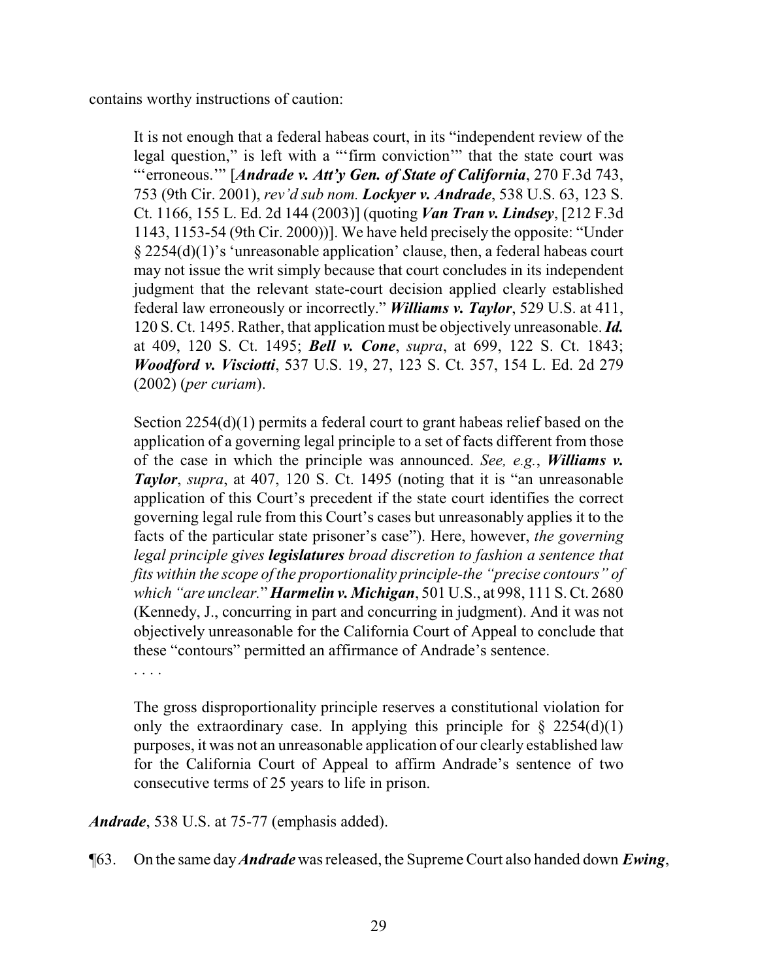contains worthy instructions of caution:

It is not enough that a federal habeas court, in its "independent review of the legal question," is left with a "'firm conviction'" that the state court was "'erroneous.'" [*Andrade v. Att'y Gen. of State of California*, 270 F.3d 743, 753 (9th Cir. 2001), *rev'd sub nom. Lockyer v. Andrade*, 538 U.S. 63, 123 S. Ct. 1166, 155 L. Ed. 2d 144 (2003)] (quoting *Van Tran v. Lindsey*, [212 F.3d 1143, 1153-54 (9th Cir. 2000))]. We have held precisely the opposite: "Under § 2254(d)(1)'s 'unreasonable application' clause, then, a federal habeas court may not issue the writ simply because that court concludes in its independent judgment that the relevant state-court decision applied clearly established federal law erroneously or incorrectly." *Williams v. Taylor*, 529 U.S. at 411, 120 S. Ct. 1495. Rather, that application must be objectively unreasonable. *Id.* at 409, 120 S. Ct. 1495; *Bell v. Cone*, *supra*, at 699, 122 S. Ct. 1843; *Woodford v. Visciotti*, 537 U.S. 19, 27, 123 S. Ct. 357, 154 L. Ed. 2d 279 (2002) (*per curiam*).

Section 2254(d)(1) permits a federal court to grant habeas relief based on the application of a governing legal principle to a set of facts different from those of the case in which the principle was announced. *See, e.g.*, *Williams v. Taylor*, *supra*, at 407, 120 S. Ct. 1495 (noting that it is "an unreasonable application of this Court's precedent if the state court identifies the correct governing legal rule from this Court's cases but unreasonably applies it to the facts of the particular state prisoner's case"). Here, however, *the governing legal principle gives legislatures broad discretion to fashion a sentence that fits within the scope of the proportionality principle-the "precise contours" of which "are unclear.*" *Harmelin v. Michigan*, 501 U.S., at 998, 111 S. Ct. 2680 (Kennedy, J., concurring in part and concurring in judgment). And it was not objectively unreasonable for the California Court of Appeal to conclude that these "contours" permitted an affirmance of Andrade's sentence.

. . . .

The gross disproportionality principle reserves a constitutional violation for only the extraordinary case. In applying this principle for  $\S$  2254(d)(1) purposes, it was not an unreasonable application of our clearly established law for the California Court of Appeal to affirm Andrade's sentence of two consecutive terms of 25 years to life in prison.

*Andrade*, 538 U.S. at 75-77 (emphasis added).

¶63. On the same day*Andrade* was released, the Supreme Court also handed down *Ewing*,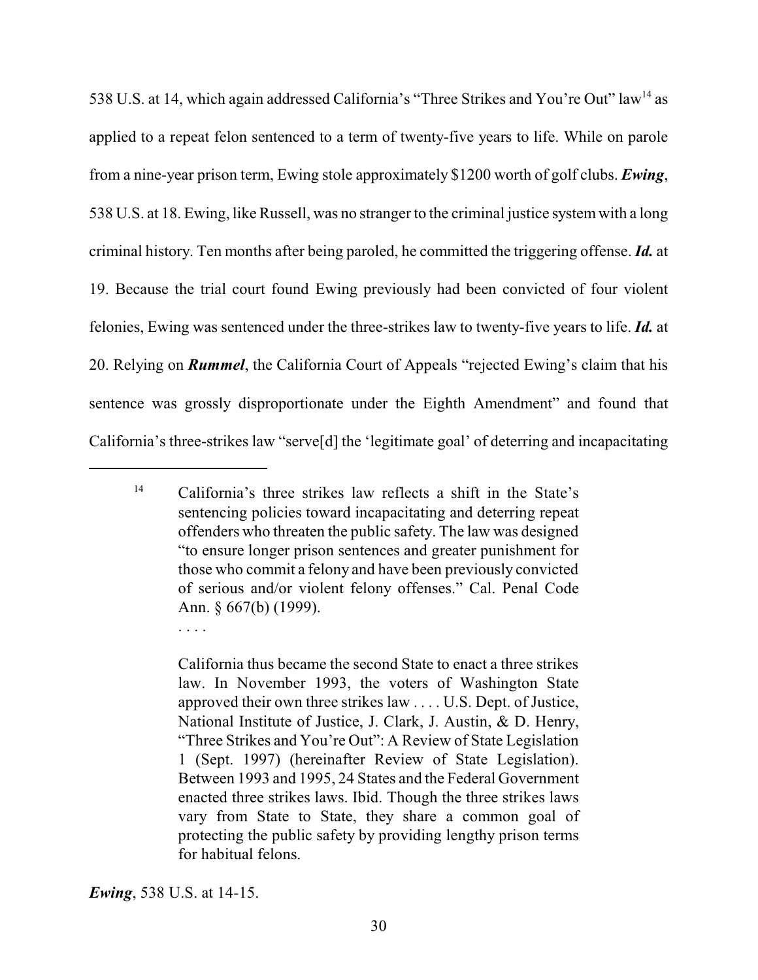538 U.S. at 14, which again addressed California's "Three Strikes and You're Out" law<sup>14</sup> as applied to a repeat felon sentenced to a term of twenty-five years to life. While on parole from a nine-year prison term, Ewing stole approximately \$1200 worth of golf clubs. *Ewing*, 538 U.S. at 18. Ewing, like Russell, was no stranger to the criminal justice systemwith a long criminal history. Ten months after being paroled, he committed the triggering offense. *Id.* at 19. Because the trial court found Ewing previously had been convicted of four violent felonies, Ewing was sentenced under the three-strikes law to twenty-five years to life. *Id.* at 20. Relying on *Rummel*, the California Court of Appeals "rejected Ewing's claim that his sentence was grossly disproportionate under the Eighth Amendment" and found that California's three-strikes law "serve[d] the 'legitimate goal' of deterring and incapacitating

. . . .

<sup>14</sup> California's three strikes law reflects a shift in the State's sentencing policies toward incapacitating and deterring repeat offenders who threaten the public safety. The law was designed "to ensure longer prison sentences and greater punishment for those who commit a felony and have been previously convicted of serious and/or violent felony offenses." Cal. Penal Code Ann. § 667(b) (1999).

California thus became the second State to enact a three strikes law. In November 1993, the voters of Washington State approved their own three strikes law . . . . U.S. Dept. of Justice, National Institute of Justice, J. Clark, J. Austin, & D. Henry, "Three Strikes and You're Out": A Review of State Legislation 1 (Sept. 1997) (hereinafter Review of State Legislation). Between 1993 and 1995, 24 States and the Federal Government enacted three strikes laws. Ibid. Though the three strikes laws vary from State to State, they share a common goal of protecting the public safety by providing lengthy prison terms for habitual felons.

*Ewing*, 538 U.S. at 14-15.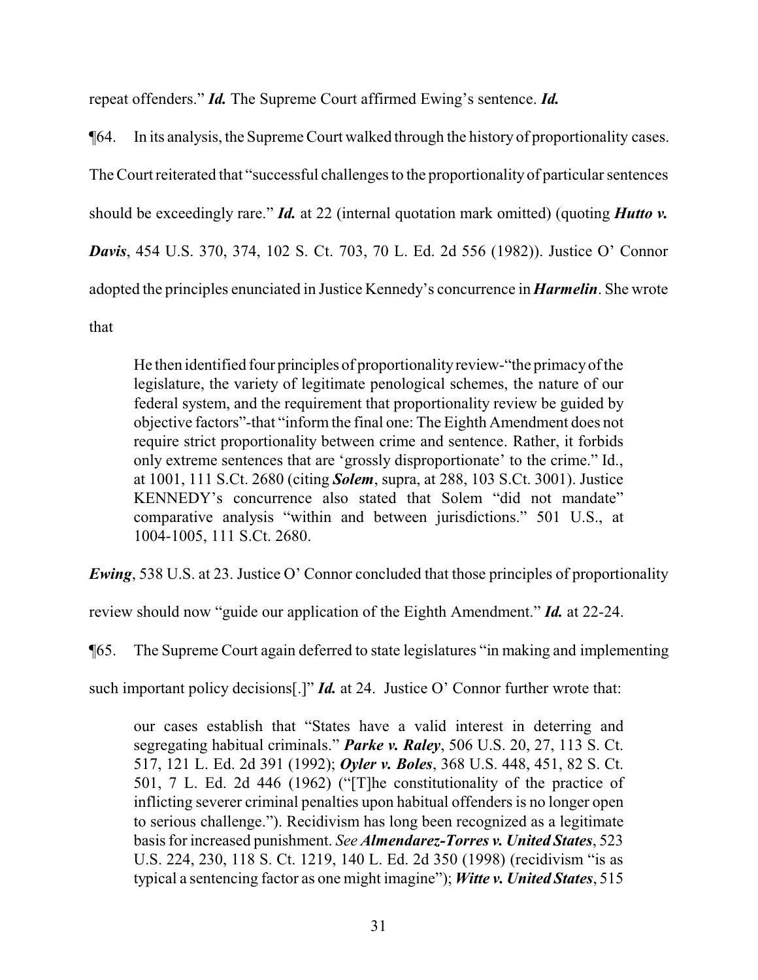repeat offenders." *Id.* The Supreme Court affirmed Ewing's sentence. *Id.*

¶64. In its analysis, the Supreme Court walked through the history of proportionality cases. The Court reiterated that "successful challenges to the proportionalityof particular sentences should be exceedingly rare." *Id.* at 22 (internal quotation mark omitted) (quoting *Hutto v. Davis*, 454 U.S. 370, 374, 102 S. Ct. 703, 70 L. Ed. 2d 556 (1982)). Justice O' Connor adopted the principles enunciated in Justice Kennedy's concurrence in *Harmelin*. She wrote that

He then identified four principles of proportionalityreview-"the primacyofthe legislature, the variety of legitimate penological schemes, the nature of our federal system, and the requirement that proportionality review be guided by objective factors"-that "inform the final one: The Eighth Amendment does not require strict proportionality between crime and sentence. Rather, it forbids only extreme sentences that are 'grossly disproportionate' to the crime." Id., at 1001, 111 S.Ct. 2680 (citing *Solem*, supra, at 288, 103 S.Ct. 3001). Justice KENNEDY's concurrence also stated that Solem "did not mandate" comparative analysis "within and between jurisdictions." 501 U.S., at 1004-1005, 111 S.Ct. 2680.

*Ewing*, 538 U.S. at 23. Justice O' Connor concluded that those principles of proportionality

review should now "guide our application of the Eighth Amendment." *Id.* at 22-24.

¶65. The Supreme Court again deferred to state legislatures "in making and implementing

such important policy decisions<sup>[1]</sup> *Id.* at 24. Justice O' Connor further wrote that:

our cases establish that "States have a valid interest in deterring and segregating habitual criminals." *Parke v. Raley*, 506 U.S. 20, 27, 113 S. Ct. 517, 121 L. Ed. 2d 391 (1992); *Oyler v. Boles*, 368 U.S. 448, 451, 82 S. Ct. 501, 7 L. Ed. 2d 446 (1962) ("[T]he constitutionality of the practice of inflicting severer criminal penalties upon habitual offenders is no longer open to serious challenge."). Recidivism has long been recognized as a legitimate basis for increased punishment. *See Almendarez-Torres v. United States*, 523 U.S. 224, 230, 118 S. Ct. 1219, 140 L. Ed. 2d 350 (1998) (recidivism "is as typical a sentencing factor as one might imagine"); *Witte v. United States*, 515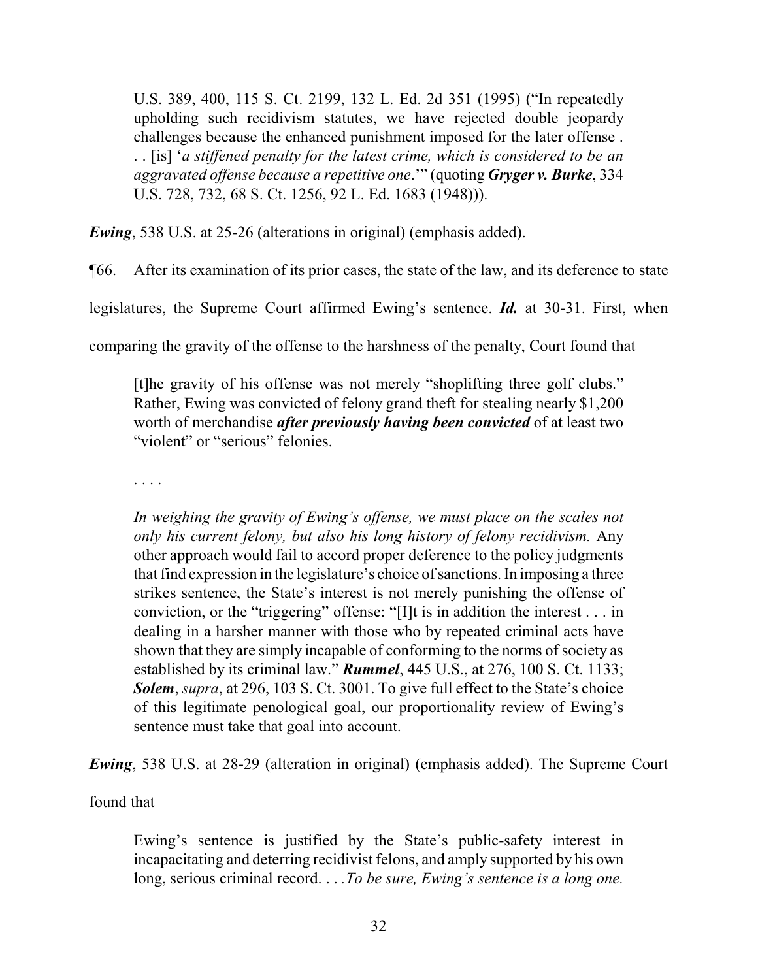U.S. 389, 400, 115 S. Ct. 2199, 132 L. Ed. 2d 351 (1995) ("In repeatedly upholding such recidivism statutes, we have rejected double jeopardy challenges because the enhanced punishment imposed for the later offense . . . [is] '*a stiffened penalty for the latest crime, which is considered to be an aggravated offense because a repetitive one*.'" (quoting *Gryger v. Burke*, 334 U.S. 728, 732, 68 S. Ct. 1256, 92 L. Ed. 1683 (1948))).

*Ewing*, 538 U.S. at 25-26 (alterations in original) (emphasis added).

¶66. After its examination of its prior cases, the state of the law, and its deference to state

legislatures, the Supreme Court affirmed Ewing's sentence. *Id.* at 30-31. First, when

comparing the gravity of the offense to the harshness of the penalty, Court found that

[t]he gravity of his offense was not merely "shoplifting three golf clubs." Rather, Ewing was convicted of felony grand theft for stealing nearly \$1,200 worth of merchandise *after previously having been convicted* of at least two "violent" or "serious" felonies.

. . . .

*In weighing the gravity of Ewing's offense, we must place on the scales not only his current felony, but also his long history of felony recidivism.* Any other approach would fail to accord proper deference to the policy judgments that find expression in the legislature's choice of sanctions. In imposing a three strikes sentence, the State's interest is not merely punishing the offense of conviction, or the "triggering" offense: "[I]t is in addition the interest . . . in dealing in a harsher manner with those who by repeated criminal acts have shown that they are simply incapable of conforming to the norms of society as established by its criminal law." *Rummel*, 445 U.S., at 276, 100 S. Ct. 1133; *Solem*, *supra*, at 296, 103 S. Ct. 3001. To give full effect to the State's choice of this legitimate penological goal, our proportionality review of Ewing's sentence must take that goal into account.

*Ewing*, 538 U.S. at 28-29 (alteration in original) (emphasis added). The Supreme Court

found that

Ewing's sentence is justified by the State's public-safety interest in incapacitating and deterring recidivist felons, and amply supported by his own long, serious criminal record. . . *.To be sure, Ewing's sentence is a long one.*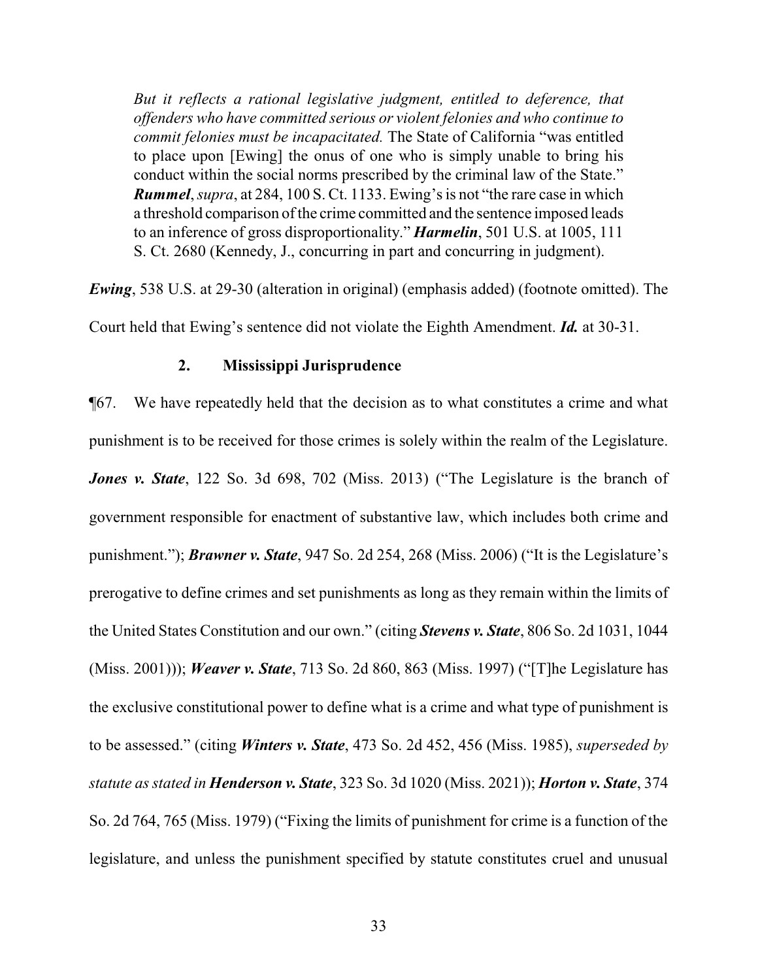*But it reflects a rational legislative judgment, entitled to deference, that offenders who have committed serious or violent felonies and who continue to commit felonies must be incapacitated.* The State of California "was entitled to place upon [Ewing] the onus of one who is simply unable to bring his conduct within the social norms prescribed by the criminal law of the State." *Rummel*, *supra*, at 284, 100 S. Ct. 1133. Ewing's is not "the rare case in which a threshold comparison of the crime committed and the sentence imposed leads to an inference of gross disproportionality." *Harmelin*, 501 U.S. at 1005, 111 S. Ct. 2680 (Kennedy, J., concurring in part and concurring in judgment).

*Ewing*, 538 U.S. at 29-30 (alteration in original) (emphasis added) (footnote omitted). The Court held that Ewing's sentence did not violate the Eighth Amendment. *Id.* at 30-31.

#### **2. Mississippi Jurisprudence**

¶67. We have repeatedly held that the decision as to what constitutes a crime and what punishment is to be received for those crimes is solely within the realm of the Legislature. *Jones v. State*, 122 So. 3d 698, 702 (Miss. 2013) ("The Legislature is the branch of government responsible for enactment of substantive law, which includes both crime and punishment."); *Brawner v. State*, 947 So. 2d 254, 268 (Miss. 2006) ("It is the Legislature's prerogative to define crimes and set punishments as long as they remain within the limits of the United States Constitution and our own." (citing *Stevens v. State*, 806 So. 2d 1031, 1044 (Miss. 2001))); *Weaver v. State*, 713 So. 2d 860, 863 (Miss. 1997) ("[T]he Legislature has the exclusive constitutional power to define what is a crime and what type of punishment is to be assessed." (citing *Winters v. State*, 473 So. 2d 452, 456 (Miss. 1985), *superseded by statute as stated in Henderson v. State*, 323 So. 3d 1020 (Miss. 2021)); *Horton v. State*, 374 So. 2d 764, 765 (Miss. 1979) ("Fixing the limits of punishment for crime is a function of the legislature, and unless the punishment specified by statute constitutes cruel and unusual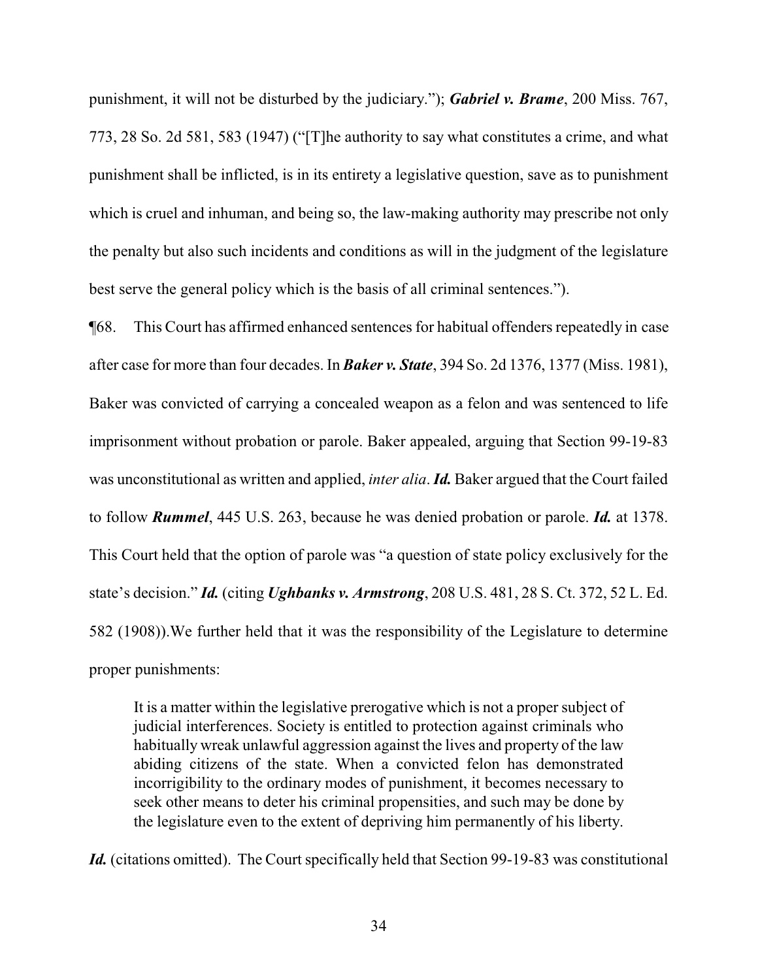punishment, it will not be disturbed by the judiciary."); *Gabriel v. Brame*, 200 Miss. 767, 773, 28 So. 2d 581, 583 (1947) ("[T]he authority to say what constitutes a crime, and what punishment shall be inflicted, is in its entirety a legislative question, save as to punishment which is cruel and inhuman, and being so, the law-making authority may prescribe not only the penalty but also such incidents and conditions as will in the judgment of the legislature best serve the general policy which is the basis of all criminal sentences.").

¶68. This Court has affirmed enhanced sentences for habitual offenders repeatedly in case after case for more than four decades. In *Baker v. State*, 394 So. 2d 1376, 1377 (Miss. 1981), Baker was convicted of carrying a concealed weapon as a felon and was sentenced to life imprisonment without probation or parole. Baker appealed, arguing that Section 99-19-83 was unconstitutional as written and applied, *inter alia*. *Id.* Baker argued that the Court failed to follow *Rummel*, 445 U.S. 263, because he was denied probation or parole. *Id.* at 1378. This Court held that the option of parole was "a question of state policy exclusively for the state's decision." *Id.* (citing *Ughbanks v. Armstrong*, 208 U.S. 481, 28 S. Ct. 372, 52 L. Ed. 582 (1908)).We further held that it was the responsibility of the Legislature to determine proper punishments:

It is a matter within the legislative prerogative which is not a proper subject of judicial interferences. Society is entitled to protection against criminals who habitually wreak unlawful aggression against the lives and property of the law abiding citizens of the state. When a convicted felon has demonstrated incorrigibility to the ordinary modes of punishment, it becomes necessary to seek other means to deter his criminal propensities, and such may be done by the legislature even to the extent of depriving him permanently of his liberty.

Id. (citations omitted). The Court specifically held that Section 99-19-83 was constitutional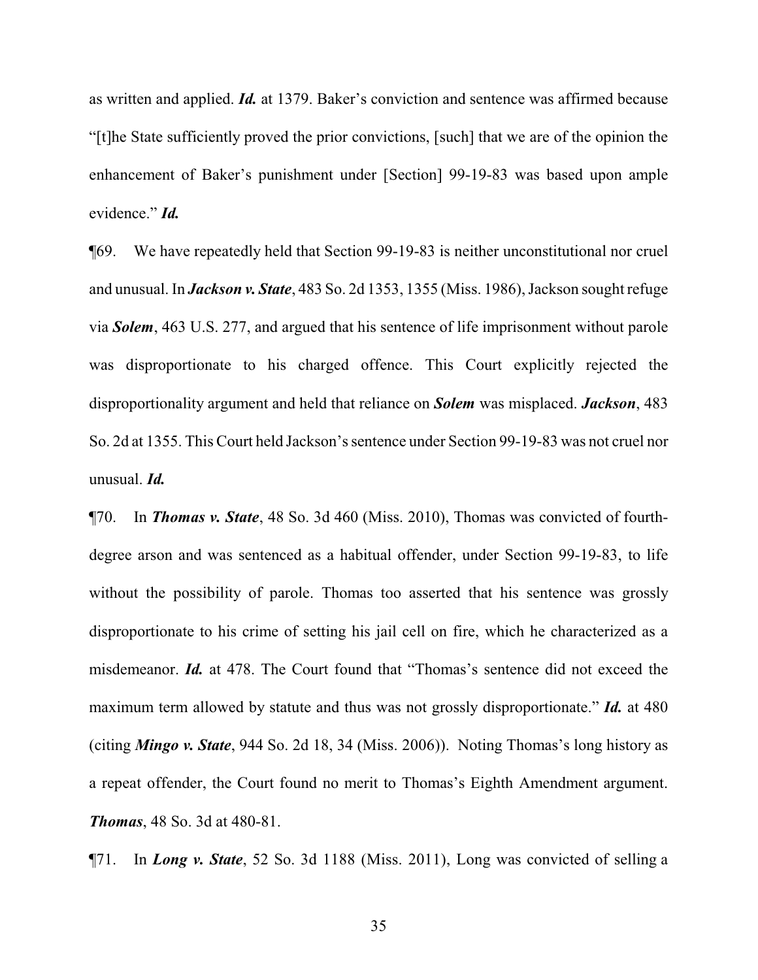as written and applied. *Id.* at 1379. Baker's conviction and sentence was affirmed because "[t]he State sufficiently proved the prior convictions, [such] that we are of the opinion the enhancement of Baker's punishment under [Section] 99-19-83 was based upon ample evidence." *Id.*

¶69. We have repeatedly held that Section 99-19-83 is neither unconstitutional nor cruel and unusual. In *Jackson v. State*, 483 So. 2d 1353, 1355 (Miss. 1986), Jackson sought refuge via *Solem*, 463 U.S. 277, and argued that his sentence of life imprisonment without parole was disproportionate to his charged offence. This Court explicitly rejected the disproportionality argument and held that reliance on *Solem* was misplaced. *Jackson*, 483 So. 2d at 1355. This Court held Jackson's sentence under Section 99-19-83 was not cruel nor unusual. *Id.*

¶70. In *Thomas v. State*, 48 So. 3d 460 (Miss. 2010), Thomas was convicted of fourthdegree arson and was sentenced as a habitual offender, under Section 99-19-83, to life without the possibility of parole. Thomas too asserted that his sentence was grossly disproportionate to his crime of setting his jail cell on fire, which he characterized as a misdemeanor. *Id.* at 478. The Court found that "Thomas's sentence did not exceed the maximum term allowed by statute and thus was not grossly disproportionate." *Id.* at 480 (citing *Mingo v. State*, 944 So. 2d 18, 34 (Miss. 2006)). Noting Thomas's long history as a repeat offender, the Court found no merit to Thomas's Eighth Amendment argument. *Thomas*, 48 So. 3d at 480-81.

¶71. In *Long v. State*, 52 So. 3d 1188 (Miss. 2011), Long was convicted of selling a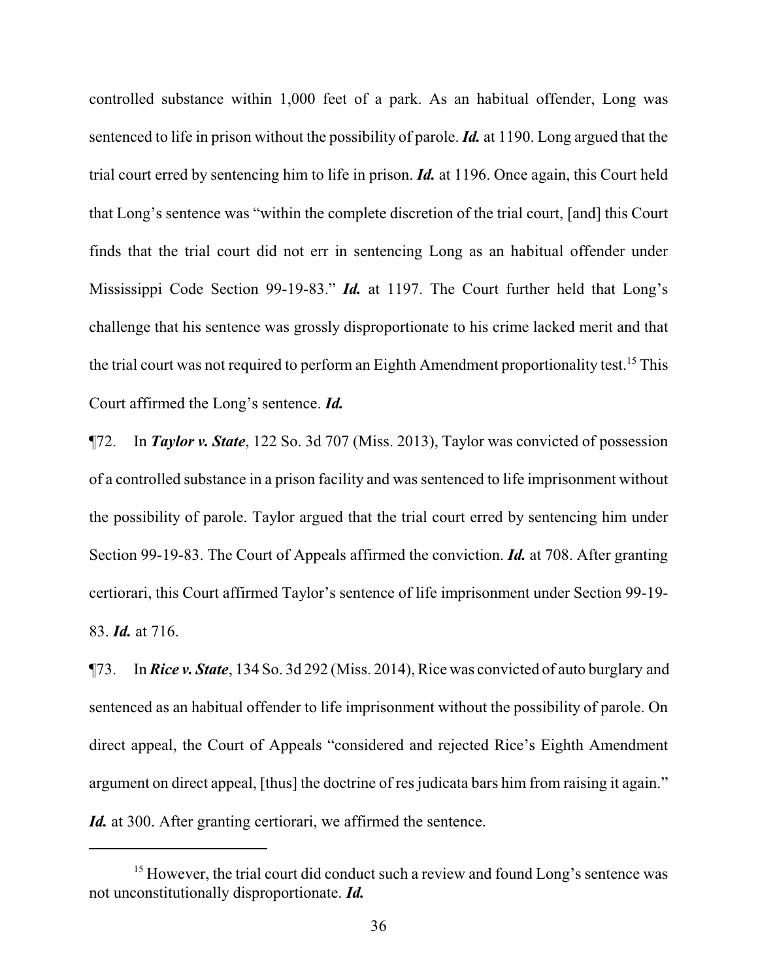controlled substance within 1,000 feet of a park. As an habitual offender, Long was sentenced to life in prison without the possibility of parole. *Id.* at 1190. Long argued that the trial court erred by sentencing him to life in prison. *Id.* at 1196. Once again, this Court held that Long's sentence was "within the complete discretion of the trial court, [and] this Court finds that the trial court did not err in sentencing Long as an habitual offender under Mississippi Code Section 99-19-83." *Id.* at 1197. The Court further held that Long's challenge that his sentence was grossly disproportionate to his crime lacked merit and that the trial court was not required to perform an Eighth Amendment proportionality test.<sup>15</sup> This Court affirmed the Long's sentence. *Id.*

¶72. In *Taylor v. State*, 122 So. 3d 707 (Miss. 2013), Taylor was convicted of possession of a controlled substance in a prison facility and was sentenced to life imprisonment without the possibility of parole. Taylor argued that the trial court erred by sentencing him under Section 99-19-83. The Court of Appeals affirmed the conviction. *Id.* at 708. After granting certiorari, this Court affirmed Taylor's sentence of life imprisonment under Section 99-19- 83. *Id.* at 716.

¶73. In *Rice v. State*, 134 So. 3d 292 (Miss. 2014), Rice was convicted of auto burglary and sentenced as an habitual offender to life imprisonment without the possibility of parole. On direct appeal, the Court of Appeals "considered and rejected Rice's Eighth Amendment argument on direct appeal, [thus] the doctrine of res judicata bars him from raising it again." *Id.* at 300. After granting certiorari, we affirmed the sentence.

<sup>&</sup>lt;sup>15</sup> However, the trial court did conduct such a review and found Long's sentence was not unconstitutionally disproportionate. *Id.*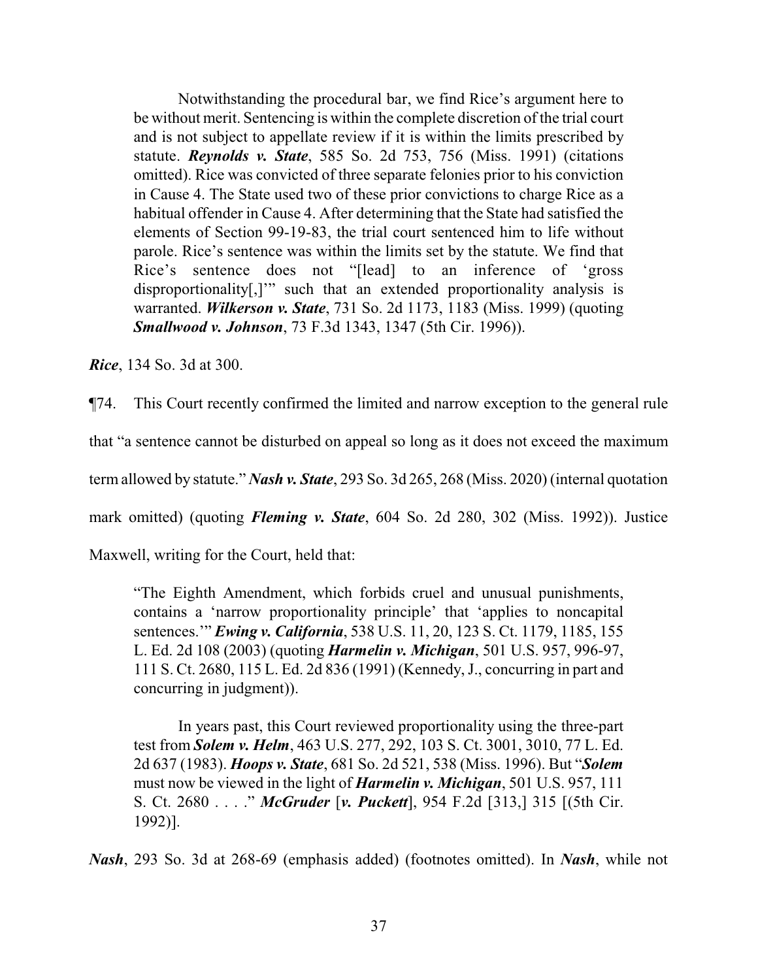Notwithstanding the procedural bar, we find Rice's argument here to be without merit. Sentencing is within the complete discretion of the trial court and is not subject to appellate review if it is within the limits prescribed by statute. *Reynolds v. State*, 585 So. 2d 753, 756 (Miss. 1991) (citations omitted). Rice was convicted of three separate felonies prior to his conviction in Cause 4. The State used two of these prior convictions to charge Rice as a habitual offender in Cause 4. After determining that the State had satisfied the elements of Section 99-19-83, the trial court sentenced him to life without parole. Rice's sentence was within the limits set by the statute. We find that Rice's sentence does not "[lead] to an inference of 'gross disproportionality[,]" such that an extended proportionality analysis is warranted. *Wilkerson v. State*, 731 So. 2d 1173, 1183 (Miss. 1999) (quoting *Smallwood v. Johnson*, 73 F.3d 1343, 1347 (5th Cir. 1996)).

*Rice*, 134 So. 3d at 300.

¶74. This Court recently confirmed the limited and narrow exception to the general rule

that "a sentence cannot be disturbed on appeal so long as it does not exceed the maximum

term allowed by statute." *Nash v. State*, 293 So. 3d 265, 268 (Miss. 2020) (internal quotation

mark omitted) (quoting *Fleming v. State*, 604 So. 2d 280, 302 (Miss. 1992)). Justice

Maxwell, writing for the Court, held that:

"The Eighth Amendment, which forbids cruel and unusual punishments, contains a 'narrow proportionality principle' that 'applies to noncapital sentences.'" *Ewing v. California*, 538 U.S. 11, 20, 123 S. Ct. 1179, 1185, 155 L. Ed. 2d 108 (2003) (quoting *Harmelin v. Michigan*, 501 U.S. 957, 996-97, 111 S. Ct. 2680, 115 L. Ed. 2d 836 (1991) (Kennedy,J., concurring in part and concurring in judgment)).

In years past, this Court reviewed proportionality using the three-part test from *Solem v. Helm*, 463 U.S. 277, 292, 103 S. Ct. 3001, 3010, 77 L. Ed. 2d 637 (1983). *Hoops v. State*, 681 So. 2d 521, 538 (Miss. 1996). But "*Solem* must now be viewed in the light of *Harmelin v. Michigan*, 501 U.S. 957, 111 S. Ct. 2680 . . . ." *McGruder* [*v. Puckett*], 954 F.2d [313,] 315 [(5th Cir. 1992)].

*Nash*, 293 So. 3d at 268-69 (emphasis added) (footnotes omitted). In *Nash*, while not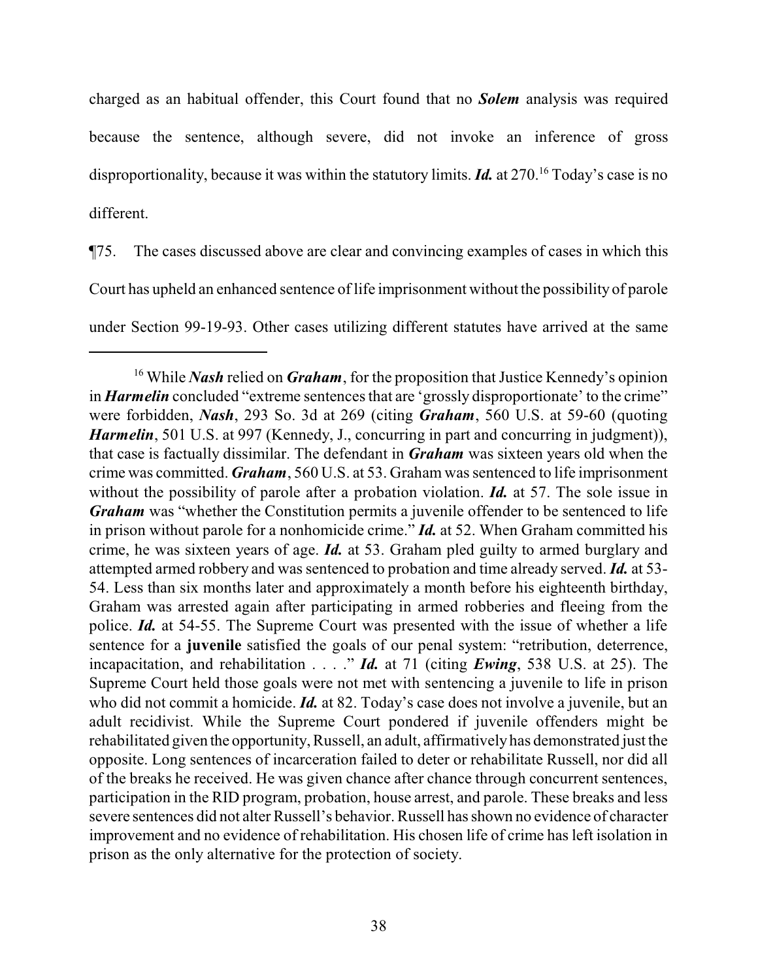charged as an habitual offender, this Court found that no *Solem* analysis was required because the sentence, although severe, did not invoke an inference of gross disproportionality, because it was within the statutory limits. *Id.* at 270.<sup>16</sup> Today's case is no different.

¶75. The cases discussed above are clear and convincing examples of cases in which this Court has upheld an enhanced sentence of life imprisonment without the possibility of parole under Section 99-19-93. Other cases utilizing different statutes have arrived at the same

<sup>&</sup>lt;sup>16</sup> While *Nash* relied on *Graham*, for the proposition that Justice Kennedy's opinion in *Harmelin* concluded "extreme sentences that are 'grossly disproportionate' to the crime" were forbidden, *Nash*, 293 So. 3d at 269 (citing *Graham*, 560 U.S. at 59-60 (quoting *Harmelin*, 501 U.S. at 997 (Kennedy, J., concurring in part and concurring in judgment)), that case is factually dissimilar. The defendant in *Graham* was sixteen years old when the crime was committed. *Graham*, 560 U.S. at 53. Graham was sentenced to life imprisonment without the possibility of parole after a probation violation. *Id.* at 57. The sole issue in *Graham* was "whether the Constitution permits a juvenile offender to be sentenced to life in prison without parole for a nonhomicide crime." *Id.* at 52. When Graham committed his crime, he was sixteen years of age. *Id.* at 53. Graham pled guilty to armed burglary and attempted armed robbery and was sentenced to probation and time already served. *Id.* at 53- 54. Less than six months later and approximately a month before his eighteenth birthday, Graham was arrested again after participating in armed robberies and fleeing from the police. *Id.* at 54-55. The Supreme Court was presented with the issue of whether a life sentence for a **juvenile** satisfied the goals of our penal system: "retribution, deterrence, incapacitation, and rehabilitation . . . ." *Id.* at 71 (citing *Ewing*, 538 U.S. at 25). The Supreme Court held those goals were not met with sentencing a juvenile to life in prison who did not commit a homicide. *Id.* at 82. Today's case does not involve a juvenile, but an adult recidivist. While the Supreme Court pondered if juvenile offenders might be rehabilitated given the opportunity, Russell, an adult, affirmativelyhas demonstrated just the opposite. Long sentences of incarceration failed to deter or rehabilitate Russell, nor did all of the breaks he received. He was given chance after chance through concurrent sentences, participation in the RID program, probation, house arrest, and parole. These breaks and less severe sentences did not alter Russell's behavior. Russell has shown no evidence of character improvement and no evidence of rehabilitation. His chosen life of crime has left isolation in prison as the only alternative for the protection of society.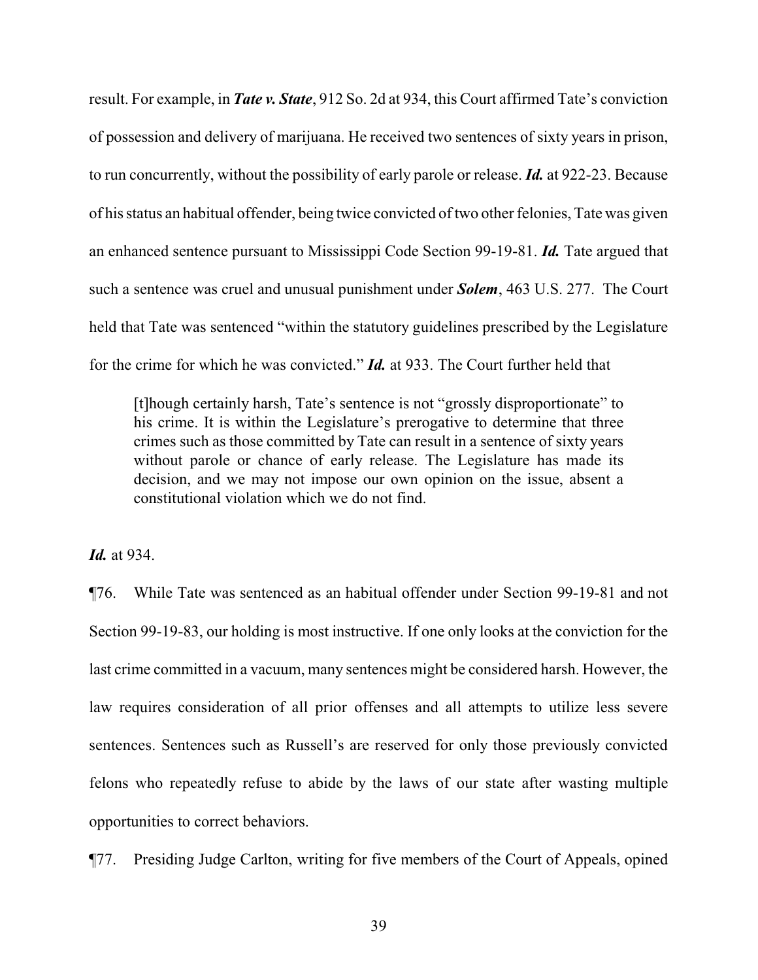result. For example, in *Tate v. State*, 912 So. 2d at 934, this Court affirmed Tate's conviction of possession and delivery of marijuana. He received two sentences of sixty years in prison, to run concurrently, without the possibility of early parole or release. *Id.* at 922-23. Because of his status an habitual offender, being twice convicted of two other felonies, Tate was given an enhanced sentence pursuant to Mississippi Code Section 99-19-81. *Id.* Tate argued that such a sentence was cruel and unusual punishment under *Solem*, 463 U.S. 277. The Court held that Tate was sentenced "within the statutory guidelines prescribed by the Legislature for the crime for which he was convicted." *Id.* at 933. The Court further held that

[t]hough certainly harsh, Tate's sentence is not "grossly disproportionate" to his crime. It is within the Legislature's prerogative to determine that three crimes such as those committed by Tate can result in a sentence of sixty years without parole or chance of early release. The Legislature has made its decision, and we may not impose our own opinion on the issue, absent a constitutional violation which we do not find.

*Id.* at 934.

¶76. While Tate was sentenced as an habitual offender under Section 99-19-81 and not Section 99-19-83, our holding is most instructive. If one only looks at the conviction for the last crime committed in a vacuum, many sentences might be considered harsh. However, the law requires consideration of all prior offenses and all attempts to utilize less severe sentences. Sentences such as Russell's are reserved for only those previously convicted felons who repeatedly refuse to abide by the laws of our state after wasting multiple opportunities to correct behaviors.

¶77. Presiding Judge Carlton, writing for five members of the Court of Appeals, opined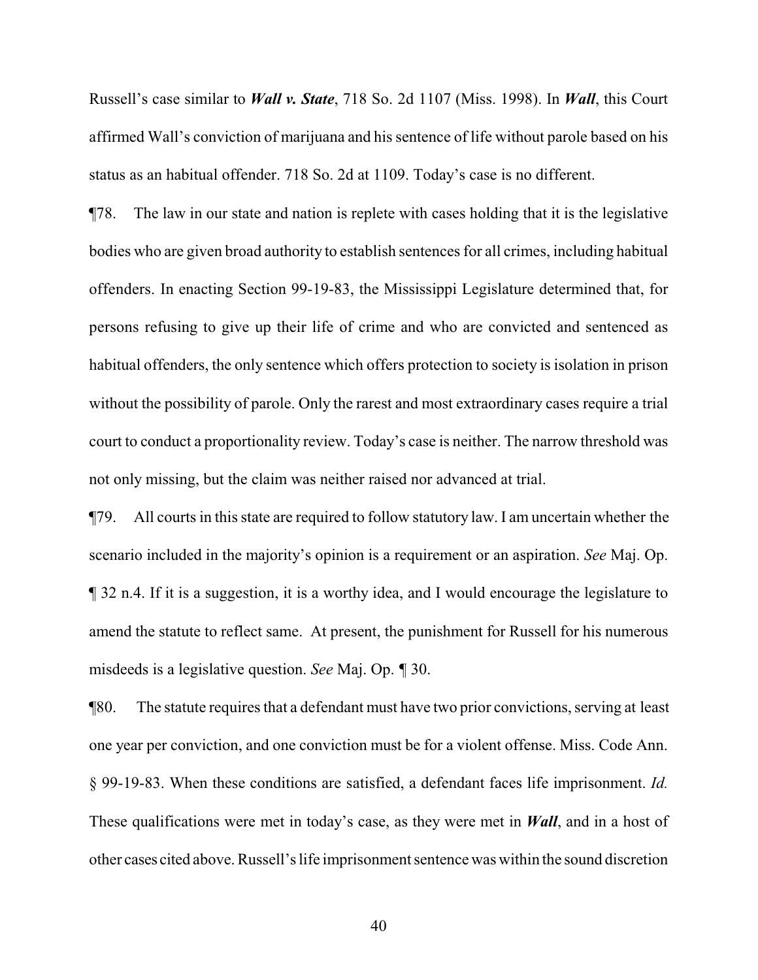Russell's case similar to *Wall v. State*, 718 So. 2d 1107 (Miss. 1998). In *Wall*, this Court affirmed Wall's conviction of marijuana and his sentence of life without parole based on his status as an habitual offender. 718 So. 2d at 1109. Today's case is no different.

¶78. The law in our state and nation is replete with cases holding that it is the legislative bodies who are given broad authority to establish sentences for all crimes, including habitual offenders. In enacting Section 99-19-83, the Mississippi Legislature determined that, for persons refusing to give up their life of crime and who are convicted and sentenced as habitual offenders, the only sentence which offers protection to society is isolation in prison without the possibility of parole. Only the rarest and most extraordinary cases require a trial court to conduct a proportionality review. Today's case is neither. The narrow threshold was not only missing, but the claim was neither raised nor advanced at trial.

¶79. All courts in this state are required to follow statutory law. I am uncertain whether the scenario included in the majority's opinion is a requirement or an aspiration. *See* Maj. Op. ¶ 32 n.4. If it is a suggestion, it is a worthy idea, and I would encourage the legislature to amend the statute to reflect same. At present, the punishment for Russell for his numerous misdeeds is a legislative question. *See* Maj. Op. *¶* 30.

¶80. The statute requires that a defendant must have two prior convictions, serving at least one year per conviction, and one conviction must be for a violent offense. Miss. Code Ann. § 99-19-83. When these conditions are satisfied, a defendant faces life imprisonment. *Id.* These qualifications were met in today's case, as they were met in *Wall*, and in a host of other cases cited above. Russell's life imprisonment sentence was within the sound discretion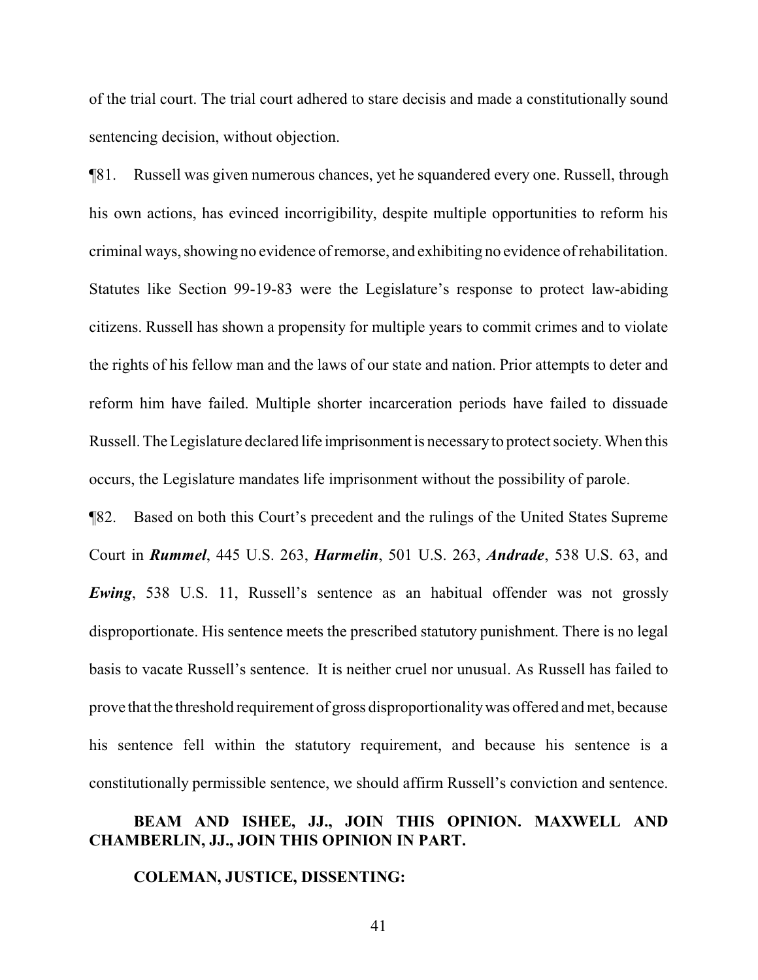of the trial court. The trial court adhered to stare decisis and made a constitutionally sound sentencing decision, without objection.

¶81. Russell was given numerous chances, yet he squandered every one. Russell, through his own actions, has evinced incorrigibility, despite multiple opportunities to reform his criminal ways, showing no evidence ofremorse, and exhibiting no evidence ofrehabilitation. Statutes like Section 99-19-83 were the Legislature's response to protect law-abiding citizens. Russell has shown a propensity for multiple years to commit crimes and to violate the rights of his fellow man and the laws of our state and nation. Prior attempts to deter and reform him have failed. Multiple shorter incarceration periods have failed to dissuade Russell. The Legislature declared life imprisonmentis necessaryto protect society.When this occurs, the Legislature mandates life imprisonment without the possibility of parole.

¶82. Based on both this Court's precedent and the rulings of the United States Supreme Court in *Rummel*, 445 U.S. 263, *Harmelin*, 501 U.S. 263, *Andrade*, 538 U.S. 63, and *Ewing*, 538 U.S. 11, Russell's sentence as an habitual offender was not grossly disproportionate. His sentence meets the prescribed statutory punishment. There is no legal basis to vacate Russell's sentence. It is neither cruel nor unusual. As Russell has failed to prove that the threshold requirement of gross disproportionality was offered and met, because his sentence fell within the statutory requirement, and because his sentence is a constitutionally permissible sentence, we should affirm Russell's conviction and sentence.

## **BEAM AND ISHEE, JJ., JOIN THIS OPINION. MAXWELL AND CHAMBERLIN, JJ., JOIN THIS OPINION IN PART.**

### **COLEMAN, JUSTICE, DISSENTING:**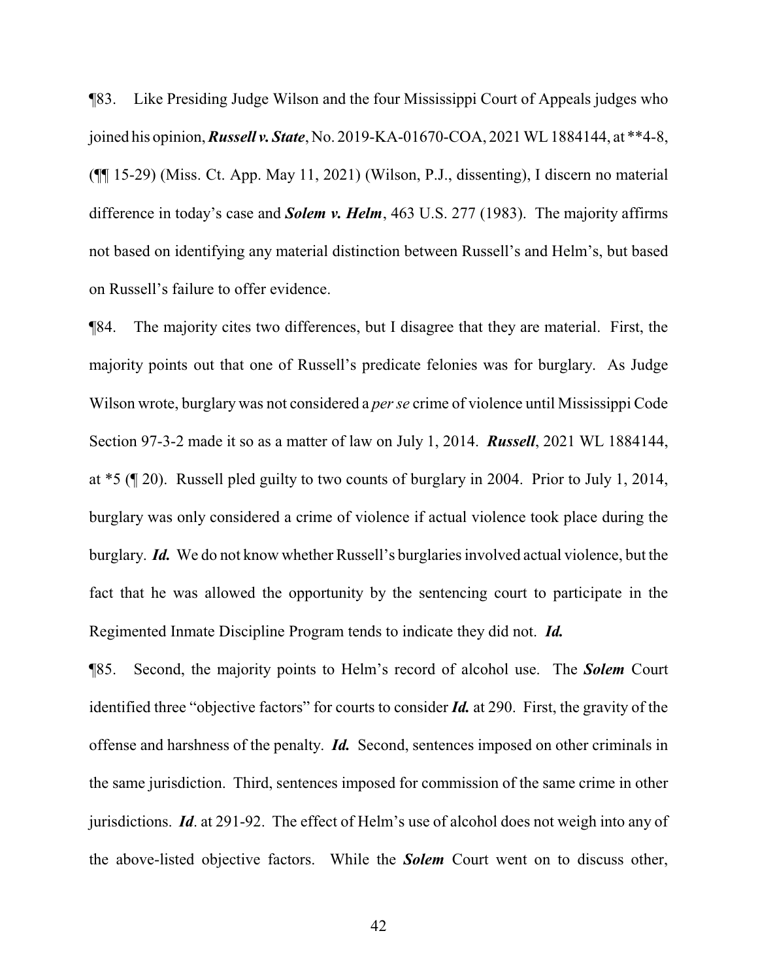¶83. Like Presiding Judge Wilson and the four Mississippi Court of Appeals judges who joined his opinion, *Russell v. State*, No. 2019-KA-01670-COA, 2021 WL 1884144, at \*\*4-8, (¶¶ 15-29) (Miss. Ct. App. May 11, 2021) (Wilson, P.J., dissenting), I discern no material difference in today's case and *Solem v. Helm*, 463 U.S. 277 (1983). The majority affirms not based on identifying any material distinction between Russell's and Helm's, but based on Russell's failure to offer evidence.

¶84. The majority cites two differences, but I disagree that they are material. First, the majority points out that one of Russell's predicate felonies was for burglary. As Judge Wilson wrote, burglary was not considered a *per se* crime of violence until Mississippi Code Section 97-3-2 made it so as a matter of law on July 1, 2014. *Russell*, 2021 WL 1884144, at \*5 (¶ 20). Russell pled guilty to two counts of burglary in 2004. Prior to July 1, 2014, burglary was only considered a crime of violence if actual violence took place during the burglary. *Id.* We do not know whether Russell's burglaries involved actual violence, but the fact that he was allowed the opportunity by the sentencing court to participate in the Regimented Inmate Discipline Program tends to indicate they did not. *Id.*

¶85. Second, the majority points to Helm's record of alcohol use. The *Solem* Court identified three "objective factors" for courts to consider *Id.* at 290. First, the gravity of the offense and harshness of the penalty. *Id.* Second, sentences imposed on other criminals in the same jurisdiction. Third, sentences imposed for commission of the same crime in other jurisdictions. *Id*. at 291-92. The effect of Helm's use of alcohol does not weigh into any of the above-listed objective factors. While the *Solem* Court went on to discuss other,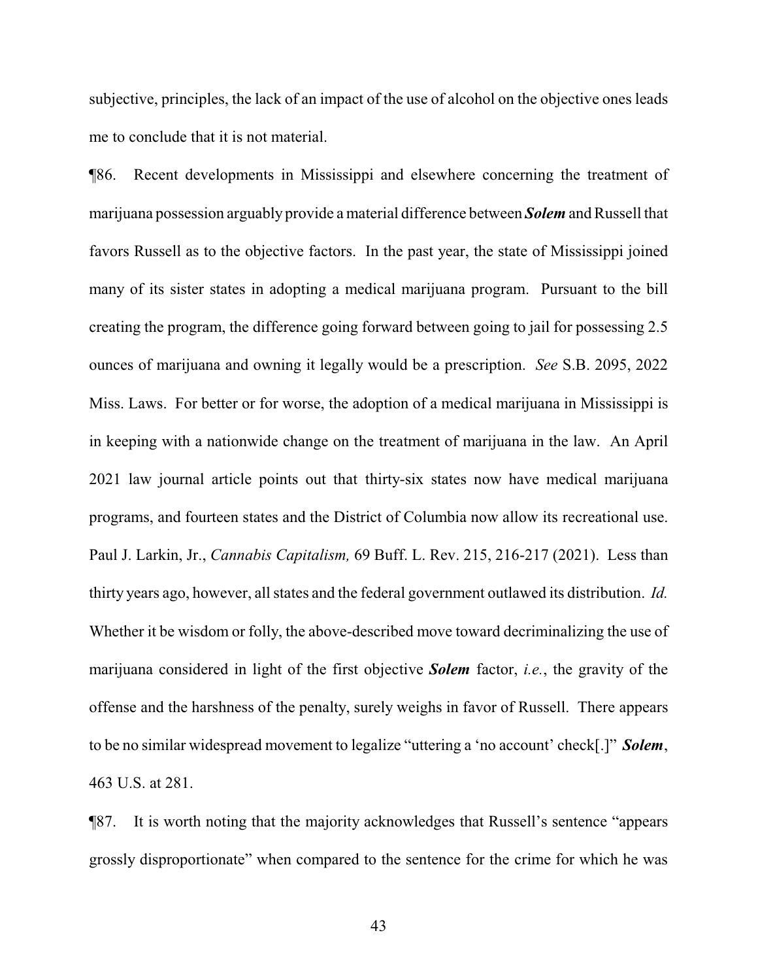subjective, principles, the lack of an impact of the use of alcohol on the objective ones leads me to conclude that it is not material.

¶86. Recent developments in Mississippi and elsewhere concerning the treatment of marijuana possession arguably provide a material difference between *Solem* and Russell that favors Russell as to the objective factors. In the past year, the state of Mississippi joined many of its sister states in adopting a medical marijuana program. Pursuant to the bill creating the program, the difference going forward between going to jail for possessing 2.5 ounces of marijuana and owning it legally would be a prescription. *See* S.B. 2095, 2022 Miss. Laws. For better or for worse, the adoption of a medical marijuana in Mississippi is in keeping with a nationwide change on the treatment of marijuana in the law. An April 2021 law journal article points out that thirty-six states now have medical marijuana programs, and fourteen states and the District of Columbia now allow its recreational use. Paul J. Larkin, Jr., *Cannabis Capitalism,* 69 Buff. L. Rev. 215, 216-217 (2021). Less than thirty years ago, however, all states and the federal government outlawed its distribution. *Id.* Whether it be wisdom or folly, the above-described move toward decriminalizing the use of marijuana considered in light of the first objective *Solem* factor, *i.e.*, the gravity of the offense and the harshness of the penalty, surely weighs in favor of Russell. There appears to be no similar widespread movement to legalize "uttering a 'no account' check[.]" *Solem*, 463 U.S. at 281.

¶87. It is worth noting that the majority acknowledges that Russell's sentence "appears grossly disproportionate" when compared to the sentence for the crime for which he was

43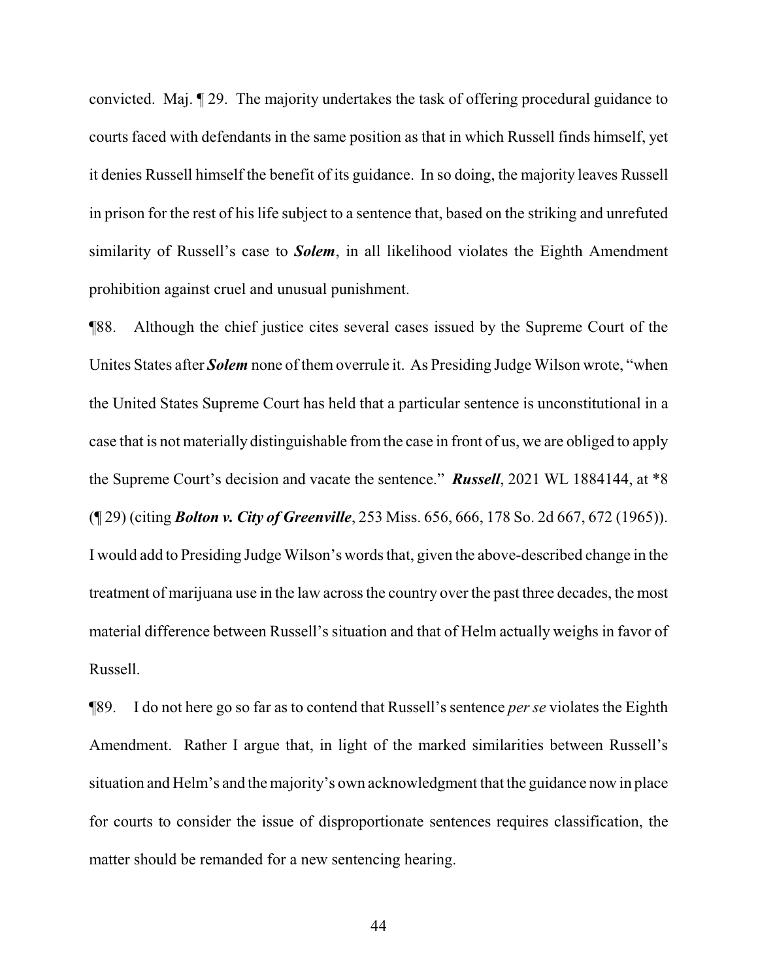convicted. Maj. ¶ 29. The majority undertakes the task of offering procedural guidance to courts faced with defendants in the same position as that in which Russell finds himself, yet it denies Russell himself the benefit of its guidance. In so doing, the majority leaves Russell in prison for the rest of his life subject to a sentence that, based on the striking and unrefuted similarity of Russell's case to *Solem*, in all likelihood violates the Eighth Amendment prohibition against cruel and unusual punishment.

¶88. Although the chief justice cites several cases issued by the Supreme Court of the Unites States after *Solem* none of them overrule it. As Presiding Judge Wilson wrote, "when the United States Supreme Court has held that a particular sentence is unconstitutional in a case that is not materially distinguishable from the case in front of us, we are obliged to apply the Supreme Court's decision and vacate the sentence." *Russell*, 2021 WL 1884144, at \*8 (¶ 29) (citing *Bolton v. City of Greenville*, 253 Miss. 656, 666, 178 So. 2d 667, 672 (1965)). I would add to Presiding Judge Wilson's words that, given the above-described change in the treatment of marijuana use in the law across the country over the past three decades, the most material difference between Russell's situation and that of Helm actually weighs in favor of Russell.

¶89. I do not here go so far as to contend that Russell's sentence *per se* violates the Eighth Amendment. Rather I argue that, in light of the marked similarities between Russell's situation and Helm's and the majority's own acknowledgment that the guidance now in place for courts to consider the issue of disproportionate sentences requires classification, the matter should be remanded for a new sentencing hearing.